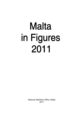# **Malta** in Figures 2011

National Statistics Office, Malta 2011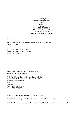Published by the National Statistics Office Lascaris Valletta Malta Tel.: (+356) 25 99 70 00 Fax: (+356) 25 99 72 05 e-mail: nso@gov.mt website: http://www.nso.gov.mt

CIP Data

Malta in Figures 2011. – Valletta: National Statistics Office, 2011. xx, 57p.; 21cm.

ISBN 978-99957-29-24-0 (print) ISBN 978-99957-29-25-7 (online) ISSN 1726-1392

For further information and for acquisition of publications, please contact:

Unit D2: External Cooperation and Communication Directorate D: Resources and Support Services National Statistics Office Lascaris Valletta Tel.: (+356) 25 99 72 19 Fax: (+356) 25 99 72 05

Printed in Malta by the Government Printing Press.

Cover painting: Jumping at Wied i*Ī*-*ĩ*urrieq by Debbie Caruana Dingli.

Cut-off date for data included in this publication is 30 September 2011 unless stated otherwise.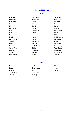# **LOCAL COUNCILS**

#### **Malta**

<span id="page-2-0"></span>

| <b>H'Attard</b>   | <b>Hal Balzan</b> | Vittoriosa          |
|-------------------|-------------------|---------------------|
| <b>Birkirkara</b> | Birżebbuġa        | Cospicua            |
| Had-Dingli        | Fgura             | Floriana            |
| Gudja             | Gżira             | Hamrun              |
| <b>Iklin</b>      | Senglea           | Kalkara             |
| <b>Hal Kirkop</b> | Hal Lija          | <b>Hal Luga</b>     |
| Marsa             | Marsaskala        | Marsaxlokk          |
| Mdina             | Mellieħa          | Mgarr               |
| Mosta             | Mqabba            | Msida               |
| Mtarfa            | Naxxar            | <b>Hal Gharghur</b> |
| <b>Hal Ghaxag</b> | Paola             | Pembroke            |
| Tal-Pietà         | <b>Hal Qormi</b>  | Qrendi              |
| Rabat             | <b>Hal Safi</b>   | St Julian's         |
| San Gwann         | St Paul's Bay     | Santa Lucija        |
| Santa Venera      | Siggiewi          | Tas-Sliema          |
| Swiegi            | Ta' Xbiex         | <b>Hal Tarxien</b>  |
| Valletta          | Xgħajra           | Haż-Żabbar          |
| Haż-Żebbug        | Żejtun            | Zurrieg             |

## Gozo

| Fontana     | Ta' Kercem  | Munxar   |
|-------------|-------------|----------|
| Nadur       | Għajnsielem | Gharb    |
| Għasri      | Qala        | Victoria |
| San Lawrenz | Ta' Sannat  | Xaqħra   |
| Xewkija     | Żebbug      |          |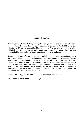# **About the Artist**

Debbie Caruana Dingli started painting at a very young age and joined an advertising agency where she worked as a graphic designer for six years. She held her first solo exhibition at 23 years of age, at the Museum of Fine Arts, Valletta. Since then she has exhibited regularly, putting up solo exhibitions every four years. She has also participated in many collective exhibitions, both in Malta and abroad.

Debbie is best known for her watercolours, including portraits and even pet portraits. In two recent exhibitions, she turned to charicatures as a means of expression. The first was entitled 'Games People Play' at St James Cavalier Valletta in 2001. This was followed by a shared exhibition with Andrew Diacono at the Casino Maltese, Valletta, in 2005. In the latter, she used oils in order to deliver a stronger and more personal collection. In 2008 Debbie held a watercolour exhibition called 'Instant People~Just Add Water' in which she depicted the plight of immigrants who reach our shores. The painting on the cover was also shown then.

Debbie lives in Siggiewi with her three sons, three dogs and three cats.

Artist's website: www.debbiecaruanadingli.com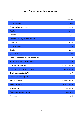# **KEY FACTS ABOUT MALTA IN 2010**

<span id="page-6-0"></span>

| Area                                       | 316 $km2$                 |
|--------------------------------------------|---------------------------|
| <b>Shoreline Malta</b>                     | 200.0 km                  |
| Shoreline Gozo and Comino                  | 71.2 km                   |
| Rainfall                                   | 513.1mm                   |
| Population                                 | 417,617                   |
| Population density (persons per $km^2$ )   | 1,322                     |
| Live births                                | 4,008                     |
| Crude birth rate                           | 9.6                       |
| Deaths                                     | 3,010                     |
| Crude death rate                           | 7.2                       |
| Licensed road vehicles/1,000 inhabitants   | 730.0                     |
| Road casualties/1,000 inhabitants          | 2.6                       |
| GDP (at market prices)                     | € 6,163.7 million         |
| <b>Balance of Payments current account</b> | $-\epsilon$ 243.5 million |
| Employed population (LFS)                  | 164,347                   |
| Unemployment rate (LFS)                    | 6.9%                      |
| Imports of goods                           | € 4,244.3 million         |
| <b>Exports of goods</b>                    | € 2,744.3 million         |
| <b>Tourist arrivals</b>                    | 1.3 million               |
| Average tourist length of stay             | 8.3 nights                |
| Physicians                                 | 1,602                     |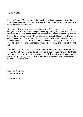# <span id="page-8-0"></span>**FOREWORD**

Malta in Figures 2011 follows in the footsteps of its predecessors by portraying an updated image of Malta and Maltese society through the compilation of a set of statistical information.

Represented here is a good selection of the Office's activities and outputs. Geographical information is complemented by demographic and road vehicle statistics, as well as salient points on healthcare. Economic indicators include highlights of the country's Gross Domestic Product, Balance of Payments current account, inflation rates, and economic governance. Malta's industries and economic activities are reflected in statistics on employment, imports and exports, domestic and international markets, tourism, and agriculture and fishing.

I am sure that this book of facts will prove a handy tool for a wide range of users. But not only - it should also serve as a useful stepping stone for those who would like to intensify the scope of their interest in and patronage of statistics, by moving on to consult the Office's extensive statistical collections, be they online or in print.

Michael Pace Ross Director General

November 2011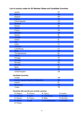# Austria AT Belgium Belgium BELG and the Contract of the Contract of the BELG and the BELG and the BELG and the BELG and the BELG and the BELG and the BELG and the BELG and the BELG and the BELG and the BELG and the BELG and the BELG Bulgaria **Bulgaria** BG Cyprus Cyprus CY (Contract Contract Contract Contract Contract Contract Contract Contract Contract C Czech Republic CZ Denmark Denmark Denmark Denmark Denmark DK Estonia EE Finland Finland Finance and Contract Contract Contract Contract Contract Contract Contract Contract Contract Contract Contract Contract Contract Contract Contract Contract Contract Contract Contract Contract Contract Contr France FR Germany **DE** Contract the Contract of Contract of Contract of Contract of Contract of Contract of Contract of Contract of Contract of Contract of Contract of Contract of Contract of Contract of Contract of Contract of Cont Greece EL Hungary **Hungary Hungary Hungary Hungary Hungary Hungary Hungary** Ireland **IE** Italy in the contract of the contract of the contract of the contract of the contract of the contract of the c Latvia LV Lithuania **Lithuania** Latin Communication and the communication of the LT Luxembourg Luxembourg LU Malta MT The Netherlands NL Poland Poland Publishers and the contract of the contract of the PL Portugal **Portugal** PT Romania **Romania** Romania Romania e a contra la contra de la contra de la contra de la contra de la contra de la contra de la contra de la contra de la contra de la contra de la contra de la contra de la contra de la contr Slovakia Skotski state i svetlan s strategističnih skladatelj i strategističnih skladatelj s strategističnih s Slovenia **SI** Spain ES Sweden State Communication of the Communication of the SE United Kingdom UK **Candidate Countries** Croatia HR Former Yugoslav Republic of Macedonia MK Iceland IS Montenegro Manual Antibody and the contract of the contract of the ME Turkey TR **Countries that use the euro as their currency**

## **List of country codes for EU Member States and Candidate Countries**

| <b>Belgium</b>                | $\blacktriangleright$ Greece | $\triangleright$ Cyprus  | $\blacktriangleright$ Austria  |
|-------------------------------|------------------------------|--------------------------|--------------------------------|
| $\triangleright$ Germany      | Spain                        | <b>Luxembourg</b>        | <b>D</b> Portugal              |
| $\blacktriangleright$ Estonia | $\blacktriangleright$ France | $\blacksquare$ Malta     | $\blacktriangleright$ Slovenia |
| $\blacksquare$ Ireland        | $\blacksquare$ Italy         | <b>D</b> The Netherlands | $\blacktriangleright$ Slovakia |
| $\triangleright$ Finland      |                              |                          |                                |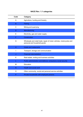# **NACE Rev. 1.1 categories**

| Code | Category                                                                                              |
|------|-------------------------------------------------------------------------------------------------------|
| A    | Agriculture, hunting and forestry                                                                     |
| в    | Fishing                                                                                               |
| C    | Mining and quarrying                                                                                  |
| D    | Manufacturing                                                                                         |
| F    | Electricity, gas and water supply                                                                     |
| F    | Construction                                                                                          |
| G    | Wholesale and retail trade; repair of motor vehicles, motorcycles and<br>personal and household goods |
| н    | <b>Hotels and restaurants</b>                                                                         |
|      | Transport, storage and communication                                                                  |
| J    | <b>Financial intermediation</b>                                                                       |
| K    | Real estate, renting and business activities                                                          |
|      | Public administration and defence; compulsory social security                                         |
| м    | Education                                                                                             |
| N    | <b>Health and social work</b>                                                                         |
| Ω    | Other community, social and personal service activities                                               |
| P    | Private households with employed persons                                                              |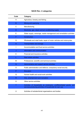# **NACE Rev. 2 categories**

| Code | Category                                                                                                                      |
|------|-------------------------------------------------------------------------------------------------------------------------------|
| A    | Agriculture, forestry and fishing                                                                                             |
| B    | Mining and quarrying                                                                                                          |
| С    | Manufacturing                                                                                                                 |
| D    | Electricity, gas, steam and air conditioning supply                                                                           |
| E    | Water supply; sewerage, waste management and remediation activities                                                           |
| F    | Construction                                                                                                                  |
| G    | Wholesale and retail trade; repair of motor vehicles and motorcycles                                                          |
| н    | <b>Transportation and storage</b>                                                                                             |
| I    | Accommodation and food service activities                                                                                     |
| J    | Information and communication                                                                                                 |
| Κ    | Financial and insurance activities                                                                                            |
| L    | <b>Real estate activities</b>                                                                                                 |
| М    | Professional, scientific and technical activities                                                                             |
| N    | Administrative and support service activities                                                                                 |
| Ω    | Public administration and defence; compulsory social security                                                                 |
| P    | Education                                                                                                                     |
| Q    | Human health and social work activities                                                                                       |
| R.   | Arts, entertainment and recreation                                                                                            |
| S    | Other service activities                                                                                                      |
| т    | Activities of households as employers; undifferentiated goods- and<br>services-producing activities of households for own use |
| U    | Activities of extraterritorial organisations and bodies                                                                       |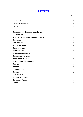# **CONTENTS**

|                                            | Page           |
|--------------------------------------------|----------------|
| <b>Local Councils</b>                      | iii            |
| Key Facts About Malta in 2010              | vii            |
| Foreword                                   | ix             |
| <b>GEOGRAPHICAL DATA AND LAND COVER</b>    | 1              |
| <b>ENVIRONMENT</b>                         | $\overline{4}$ |
| <b>POPULATION AND MAIN CAUSES OF DEATH</b> | 8              |
| <b>EDUCATION</b>                           | 10             |
| <b>HEALTHCARE</b>                          | 13             |
| <b>SOCIAL SECURITY</b>                     | 14             |
| <b>QUALITY OF LIFE</b>                     | 16             |
| <b>THE ECONOMY</b>                         | 18             |
| <b>GOVERNMENT FINANCE</b>                  | 23             |
| <b>BALANCE OF PAYMENTS</b>                 | 27             |
| <b>INTERNATIONAL TRADE</b>                 | 29             |
| <b>AGRICULTURE AND FISHERIES</b>           | 32             |
| <b>TOURISM</b>                             | 35             |
| <b>INDUSTRY</b>                            | 39             |
| <b>CONSTRUCTION</b>                        | 41             |
| <b>SERVICES</b>                            | 42             |
| <b>EMPLOYMENT</b>                          | 44             |
| <b>ACCIDENTS AT WORK</b>                   | 49             |
| <b>CONSUMER PRICES</b>                     | 53             |
| <b>MONEY</b>                               | 55             |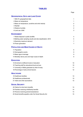# **TABLES**

Page

| <b>GEOGRAPHICAL DATA AND LAND COVER</b>                        |                |
|----------------------------------------------------------------|----------------|
| 1 MALTA: geographical data                                     | 1              |
| 2 Mean air temperature                                         | 1              |
| 3 Mean air temperature, sunshine and wind velocity             | 2              |
| 4 Rainfall                                                     | $\overline{2}$ |
| 5 Relative humidity                                            | 2              |
| 6 Land use: 2006                                               | 3              |
| <b>ENVIRONMENT</b>                                             |                |
| 7 Waste disposal in public landfills                           | 4              |
| 8 Bathing water sampling results and site classification: 2010 | 5              |
| 9 Electricity maximum demand                                   | $\overline{7}$ |
| 10 Power generation                                            | $\overline{7}$ |
| <b>POPULATION AND MAIN CAUSES OF DEATH</b>                     |                |
| 11 Population                                                  | 8              |
| 12 Demographic events                                          | 9              |
| 13 Mean age at marriage                                        | 9              |
| 14 Mortality rate by sex and major cause of death              | 9              |
| <b>EDUCATION</b>                                               |                |
| 15 Enrolment at different levels of education                  | 10             |
| 16 Teaching staff by educational level and sex                 | 10             |
| 17 University of Malta graduates by field of study             | 11             |
| 18 Percentage of early school-leavers                          | 12             |
| <b>HEALTHCARE</b>                                              |                |
| 19 Healthcare facilities                                       | 13             |
| 20 Healthcare professionals                                    | 13             |
| 21 Infant and child vaccinations                               | 13             |
| <b>SOCIAL SECURITY</b>                                         |                |
| 22 Claims for short-term benefits                              | 14             |
| 23 Families receiving child/family benefits                    | 14             |
| 24 Persons receiving pensions/assistance                       | 14             |
| 25 Social benefits payable under the Social Security Act       | 15             |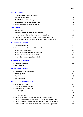#### Page

## **QUALITY OF LIFE**

| 26 Information society: selected indicators     | 16 |
|-------------------------------------------------|----|
| 27 Licensed motor vehicles                      | 16 |
| 28 Road traffic accidents, cases by region      | 16 |
| 29 Road traffic accidents, casualties by region | 16 |
| 30 Rate of motorisation and road accidents      | 17 |

## **THE ECONOMY**

| 31 GDP and GNI                                                     | 18 |
|--------------------------------------------------------------------|----|
| 32 Production and generation of income accounts                    | 19 |
| 33 GDP by category of expenditure at constant 2000 prices          | 20 |
| 34 Percentage contribution to Gross Value Added (at basic prices)  | 20 |
| 35 Gross Domestic Product per capita in Purchasing Power Standards | 22 |

## **GOVERNMENT FINANCE**

| 36 Consolidated Fund data                                             | 23 |
|-----------------------------------------------------------------------|----|
| 37 Transition between Consolidated Fund and General Government Sector | 24 |
| 38 General Government Debt                                            | 25 |
| 39 General Government expenditure by function                         | 25 |
| 40 General Government employment in R&D                               | 26 |
| 41 General Government expenditure on R&D                              | 26 |
|                                                                       |    |

#### **BALANCE OF PAYMENTS**

| 42 Balance of Payments | 27 |
|------------------------|----|
| 43 Direct investment   | 28 |

# **INTERNATIONAL TRADE**

| 44 International trade: an overview | 29 |
|-------------------------------------|----|
| 45 Imports by sector                | 29 |
| 46 Exports by sector                | 29 |
| 47 Direction of trade               | 30 |
|                                     |    |

# **AGRICULTURE AND FISHERIES**

| 48 Land under cultivation                                                 | 32 |
|---------------------------------------------------------------------------|----|
| 49 Marketed vegetables and fruit                                          | 32 |
| 50 Meat, milk and egg production                                          | 32 |
| 51 Fish landings                                                          | 32 |
| 52 Fish price index                                                       | 32 |
| 53 Fish volume index                                                      | 33 |
| 54 Agriculture and fishing: contribution to total Gross Value Added       | 33 |
| 55 Agricultural price indices based on economic accounts for agriculture  | 34 |
| 56 Agricultural volume indices based on economic accounts for agriculture | 34 |
| 57 Agricultural value indices based on economic accounts for agriculture  | 34 |
|                                                                           |    |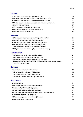# **TOURISM**

| 58 Departing tourists from Malta by country of origin                                                            | 35 |
|------------------------------------------------------------------------------------------------------------------|----|
| 59 Average length of stay of tourists by type of accommodation                                                   | 35 |
| 60 Collective accommodation establishments and bed-places                                                        | 36 |
| 61 Bed-place occupancy in collective accommodation establishments                                                | 36 |
| 62 Cruise passenger traffic                                                                                      | 37 |
| 63 Travel account in the Balance of Payments                                                                     | 37 |
| 64 Full-time employment in hotels and restaurants                                                                | 38 |
| 65 Maltese travelling abroad by air                                                                              | 38 |
| <b>INDUSTRY</b>                                                                                                  |    |
| 66 Turnover in industry by main industrial grouping and flow                                                     | 39 |
| 67 Industrial production by main industrial grouping                                                             | 39 |
| 68 Industrial producer prices by main industrial grouping                                                        | 39 |
| 69 Employment in industry by main industrial grouping                                                            | 40 |
| 70 Hours worked in industry by main industrial grouping                                                          | 40 |
| 71 Wages and salaries in industry by main industrial grouping                                                    | 40 |
| <b>CONSTRUCTION</b>                                                                                              |    |
| 72 Employment in construction by NACE division                                                                   | 41 |
| 73 Hours worked in construction by NACE division                                                                 | 41 |
| 74 Wages and salaries in construction by NACE division                                                           | 41 |
| 75 New permits for residential buildings, excluding residences for communities by<br>construction classification | 41 |
| <b>SERVICES</b>                                                                                                  |    |
| 76 Turnover in services by NACE section                                                                          | 42 |
| 77 Employment in services by NACE section                                                                        | 42 |
| 78 Hours worked in services by NACE section                                                                      | 42 |
| 79 Wages and salaries in services by NACE section                                                                | 42 |
| <b>EMPLOYMENT</b>                                                                                                |    |
| 80 Labour status                                                                                                 | 44 |
| 81 Activity, employment and unemployment rates                                                                   | 45 |
| 82 Total employed persons by age group                                                                           | 46 |
| 83 Total employed persons by main occupation                                                                     | 47 |
| 84 Total employed persons by economic activity of main occupation                                                | 47 |
| 85 Unemployed persons by age group                                                                               | 48 |
| 86 Unemployed persons by duration of job search                                                                  | 48 |
| 87 Inactive persons by age group                                                                                 | 48 |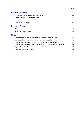#### Page

## **ACCIDENTS AT WORK**

| 91 Fatal accidents at work                           | 52 |
|------------------------------------------------------|----|
| 90 Accidents at work by economic activity            | 51 |
| 89 Accidents at work by age group of victim          | 50 |
| 88 Accidents at work by sex and occupation of victim | 49 |

| 92 Retail Price Index          | 53 |
|--------------------------------|----|
| 93 RPI monthly inflation rates | 53 |

# **MONEY**

| 94 Average exchange rates of major selected currencies against the euro               | 55 |
|---------------------------------------------------------------------------------------|----|
| 95 Average exchange rates of the euro against major selected currencies               | 55 |
| 96 The contribution of resident MFIs to the euro area monetary aggregates             | 56 |
| 97 The contribution of resident MFIs to counterparts to euro area monetary aggregates | 56 |
| 98 Deposits held with other monetary financial institutions by sector                 | 57 |
| 99 Selected interest rates in Malta                                                   | 57 |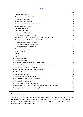# **CHARTS**

|                                                                         | Page |
|-------------------------------------------------------------------------|------|
| 1 Land use in Malta: 2006                                               | 3    |
| 2 Waste disposal in public landfills                                    | 4    |
| 3 Public water production                                               | 4    |
| 4 Bathing water quality in Malta                                        | 6    |
| 5 Bathing water quality in Gozo and Comino                              | 6    |
| 6 Bathing water quality in MALTA                                        | 6    |
| 7 Electricity generation                                                | 7    |
| 8 Live births: time series                                              | 8    |
| 9 Major causes of death: 2010                                           | 9    |
| 10 Enrolment at different levels of education                           | 10   |
| 11 Graduates from the University of Malta by selected field of study    | 12   |
| 12 Benefits payable under the Social Security Act                       | 15   |
| 13 Total population versus private cars                                 | 17   |
| 14 Percentage contribution to GVA: 2007                                 | 21   |
| 15 Percentage contribution to GVA: 2010                                 | 21   |
| 16 Current account balance                                              | 28   |
| 17 Direct investment                                                    | 28   |
| 18 Imports                                                              | 30   |
| 19 Exports                                                              | 31   |
| 20 Total imports: 2010                                                  | 31   |
| 21 Total exports: 2010                                                  | 31   |
| 22 Agriculture and fishing: contribution to total GVA                   | 33   |
| 23 Agricultural indices based on economic accounts for agriculture      | 34   |
| 24 Seasonal pattern of tourist departures                               | 35   |
| 25 Full-time employment in hotels and restaurants                       | 38   |
| 26 Labour status: males                                                 | 45   |
| 27 Labour status: females                                               | 45   |
| 28 Fatal accidents at work: time series                                 | 51   |
| 29 Accidents at work by age bracket of victims                          | 52   |
| 30 RPI monthly inflation rates                                          | 54   |
| 31 RPI annual inflation rates: time series                              | 54   |
| 32 Average exchange rates of major selected currencies against the euro | 55   |
| 33 Average exchange rates of the euro against major selected currencies | 56   |
|                                                                         |      |

## **Symbols used for data**

The colon (:) is used in tables to repesent data that are not available. A dash (-) is used to indicate values that are not relevant or not applicable. The letter P (p) in superscript is used to indicate provisional data and the letter U (u), also in superscript, is used to represent under-represented data.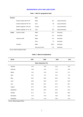#### **GEOGRAPHICAL DATA AND LAND COVER**

#### **Table 1. MALTA: geographical data**

<span id="page-20-0"></span>

| <b>Situation</b> |                                           | Area            |       |                   |
|------------------|-------------------------------------------|-----------------|-------|-------------------|
|                  | Northern latitude 36° 00' 00"             | Malta           | 247   | square kilometres |
|                  | Southern latitude 35° 48' 00"             | Gozo            | 66    | square kilometres |
|                  | Eastern longitude 14° 35' 00"             | Comino          | 3     | square kilometres |
|                  | Western longitude 14 <sup>°</sup> 10' 30" | Total           | 316   | square kilometres |
| Extent           | maximum length                            | Malta           | 27.4  | kilometres        |
|                  |                                           | Gozo            | 14.5  | kilometres        |
|                  | maximum width                             | Malta           | 14.5  | kilometres        |
|                  |                                           | Gozo            | 7.2   | kilometres        |
|                  | shoreline                                 | Malta           | 200.0 | kilometres        |
|                  |                                           | Gozo and Comino | 71.2  | kilometres        |

Source: National Statistics Office.

#### **Table 2. Mean air temperature**

| Month     | 2007                  | 2008 | 2009 | 2010 |  |
|-----------|-----------------------|------|------|------|--|
|           | Mean temperature (°C) |      |      |      |  |
| January   | 14.5                  | 14.5 | 13.2 | 13.4 |  |
| February  | 13.8                  | 13.3 | 11.3 | 13.8 |  |
| March     | 14.3                  | 14.9 | 13.4 | 14.1 |  |
| April     | 16.7                  | 17.4 | 15.3 | 17.0 |  |
| May       | 20.5                  | 20.2 | 20.6 | 19.4 |  |
| June      | 24.8                  | 23.9 | 23.7 | 22.9 |  |
| July      | 26.6                  | 26.7 | 27.0 | 26.7 |  |
| August    | 27.3                  | 26.9 | 27.3 | 27.2 |  |
| September | 25.0                  | 24.6 | 24.6 | 24.0 |  |
| October   | 21.4                  | 21.1 | 20.2 | 20.6 |  |
| November  | 17.6                  | 17.9 | 16.9 | 18.2 |  |
| December  | 14.3                  | 11.9 | 15.6 | 14.5 |  |

Source: Meteorological Office.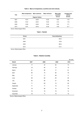| Table 3. Mean air temperature, sunshine and wind velocity |  |
|-----------------------------------------------------------|--|
|-----------------------------------------------------------|--|

<span id="page-21-0"></span>

| Year | Mean temperature | Mean maximum           | Mean minimum | Mean daily<br>sunshine | Average wind<br>velocity |
|------|------------------|------------------------|--------------|------------------------|--------------------------|
|      |                  | <b>Degrees Celsius</b> |              | (hours)                | (Knots)                  |
| 2007 | 19.74            | 23.26                  | 16.22        | 8.05                   | 7.79                     |
| 2008 | 19.44            | 22.64                  | 16.23        | 8.13                   | 7.18                     |
| 2009 | 19.08            | 22.66                  | 15.50        | 8.42                   | 7.71                     |
| 2010 | 19.31            | 22.56                  | 16.06        | 8.09                   | 8.17                     |

Source: Meteorological Office.

#### **Table 4. Rainfall**

| Period | <b>Total (millimetres)</b> |  |
|--------|----------------------------|--|
| 2007   | 620.4                      |  |
| 2008   | 476.0                      |  |
| 2009   | 680.4                      |  |
| 2010   | 513.1                      |  |

Source: Meteorological Office.

|  |  | Table 5. Relative humidity |
|--|--|----------------------------|
|--|--|----------------------------|

|              |      |      |      | per cent |
|--------------|------|------|------|----------|
| <b>Month</b> | 2007 | 2008 | 2009 | 2010     |
| January      | 77   | 81   | 84   | 74       |
| February     | 76   | 80   | 75   | 72       |
| March        | 81   | 80   | 77   | 81       |
| April        | 82   | 75   | 82   | 79       |
| May          | 71   | 77   | 68   | 71       |
| June         | 68   | 66   | 66   | 66       |
| July         | 60   | 66   | 57   | 68       |
| August       | 71   | 69   | 70   | 65       |
| September    | 71   | 71   | 73   | 74       |
| October      | 79   | 80   | 75   | 79       |
| November     | 76   | 76   | 79   | 74       |
| December     | 76   | 71   | 73   | 73       |

Source: Meteorological Office.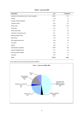<span id="page-22-0"></span>

| <b>Description</b>                                      | Km <sup>2</sup> | % total area |
|---------------------------------------------------------|-----------------|--------------|
| Agriculture with significant area of natural vegetation | 149.93          | 47.5         |
| Airports                                                | 3.72            | 1.2          |
| Complex cultivation patterns                            | 10.71           | 3.4          |
| Coniferous forest                                       | 0.67            | 0.2          |
| Built-up area                                           | 70.39           | 22.3         |
| Dump sites                                              | 0.41            | 0.1          |
| Green urban areas                                       | 1.81            | 0.6          |
| Industrial or commercial units                          | 8.11            | 2.6          |
| Mineral extraction sites                                | 3.86            | 1.2          |
| Mixed forest                                            | 1.43            | 0.5          |
| Non-irrigated arable land                               | 0.59            | 0.2          |
| Port areas                                              | 2.32            | 0.7          |
| Salines                                                 | 0.25            | 0.1          |
| Sclerophyllous vegetation                               | 49.69           | 15.8         |
| Sparsely vegetated areas                                | 8.11            | 2.6          |
| Sport and leisure facilities                            | 3.09            | 1.0          |
| Vineyards                                               | 0.27            | 0.1          |
| Total                                                   | 315.35          | 100.0        |

#### **Table 6. Land use: 2006**

Source: Malta Environment and Planning Authority (MEPA).

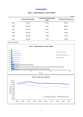#### **ENVIRONMENT**

#### **Table 7. Waste disposal in public landfills**

<span id="page-23-0"></span>

|      |                              |                                             | tonnes                     |
|------|------------------------------|---------------------------------------------|----------------------------|
|      | <b>Municipal solid waste</b> | <b>Construction and demolition</b><br>waste | Industrial and other waste |
| 2005 | 213,041                      | 8,834                                       | 28,451                     |
| 2006 | 204.387                      | 4,047                                       | 38,665                     |
| 2007 | 247,312                      | 5,024                                       | 26,201                     |
| 2008 | 265,708                      | 9,147                                       | 12,685                     |
| 2009 | 255,025                      | 2,886                                       | 12,219                     |
| 2010 | 203,756                      | 2,139                                       | 18,202                     |

Source: WasteServ.

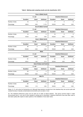<span id="page-24-0"></span>

|                 |                  |              | Zone A (Malta South)     |                               |                               |                   |  |  |
|-----------------|------------------|--------------|--------------------------|-------------------------------|-------------------------------|-------------------|--|--|
|                 |                  | E. coli      |                          |                               | <b>Intestinal Enterococci</b> |                   |  |  |
|                 | <b>Excellent</b> | Good         | <b>Sufficient</b>        | <b>Excellent</b>              | Good                          | <b>Sufficient</b> |  |  |
| Number of sites | 15               | $\Omega$     | $\overline{2}$           | 17                            | $\Omega$                      | $\Omega$          |  |  |
| Percentage      | 88.24            | 0.00         | 11.76                    | 100.00                        | 0.00                          | 0.00              |  |  |
|                 |                  |              | Zone B (Malta Central)   |                               |                               |                   |  |  |
|                 |                  | E. coli      |                          | <b>Intestinal Enterococci</b> |                               |                   |  |  |
|                 | <b>Excellent</b> | Good         | <b>Sufficient</b>        | <b>Excellent</b>              | Good                          | <b>Sufficient</b> |  |  |
| Number of sites | 14               | $\mathbf{1}$ | 0                        | 15                            | $\mathbf 0$                   | 0                 |  |  |
| Percentage      | 93.33            | 6.67         | 0.00                     | 100.00                        | 0.00                          | 0.00              |  |  |
|                 |                  |              | Zone C (Malta North)     |                               |                               |                   |  |  |
|                 |                  | E. coli      |                          |                               | <b>Intestinal Enterococci</b> |                   |  |  |
|                 | <b>Excellent</b> | Good         | <b>Sufficient</b>        | <b>Excellent</b>              | Good                          | <b>Sufficient</b> |  |  |
| Number of sites | 32               | $\Omega$     | $\Omega$                 | 32                            | $\Omega$                      | $\Omega$          |  |  |
| Percentage      | 100.00           | 0.00         | 0.00                     | 100.00                        | 0.00                          | 0.00              |  |  |
|                 |                  |              | Malta                    |                               |                               |                   |  |  |
|                 |                  | E. coli      |                          |                               | <b>Intestinal Enterococci</b> |                   |  |  |
|                 | <b>Excellent</b> | Good         | <b>Sufficient</b>        | <b>Excellent</b>              | Good                          | <b>Sufficient</b> |  |  |
| Number of sites | 61               | 1            | $\overline{c}$           | 64                            | $\Omega$                      | $\Omega$          |  |  |
| Percentage      | 95.31            | 1.56         | 3.13                     | 100.00                        | 0.00                          | 0.00              |  |  |
|                 |                  |              | Zone D (Gozo and Comino) |                               |                               |                   |  |  |
|                 |                  | E. coli      |                          |                               | <b>Intestinal Enterococci</b> |                   |  |  |
|                 | <b>Excellent</b> | Good         | <b>Sufficient</b>        | <b>Excellent</b>              | Good                          | <b>Sufficient</b> |  |  |
| Number of sites | 23               | 0            | 0                        | 23                            | $\mathbf 0$                   | $\mathbf 0$       |  |  |
| Percentage      | 100.00           | 0.00         | 0.00                     | 100.00                        | 0.00                          | 0.00              |  |  |
|                 |                  |              | <b>MALTA</b>             |                               |                               |                   |  |  |
|                 |                  | E. coli      |                          |                               | <b>Intestinal Enterococci</b> |                   |  |  |
|                 | <b>Excellent</b> | Good         | <b>Sufficient</b>        | <b>Excellent</b>              | Good                          | <b>Sufficient</b> |  |  |
| Number of sites | 84               | $\mathbf{1}$ | 2                        | 87                            | 0                             | 0                 |  |  |
| Percentage      | 96.55            | 1.15         | 2.30                     | 100.00                        | 0.00                          | 0.00              |  |  |

#### **Table 8. Bathing water sampling results and site classification: 2010**

Notes: (1) E. coli is short for Escherichia coli. Although these bacteria normally live in the intestines they can survive quite well outside the body in faecally-contaminated environments such as water or mud.

(2) The Intestinal Enterococci group can be used as an index of faecal pollution. This group survives longer in water environments than E. coli, and is more resistant to drying and to chlorination. Intestinal Enterococci have also been used to test water quality after repairs to water systems or the installation of new water mains.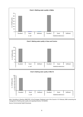<span id="page-25-0"></span>

Note: According to Directive 2006/7/EC of the European Parliament and of the Council of 15 February 2006 concerning the management of bathing water quality and repealing Directive 76/160/EEC.

Source: Environmental Health Directorate.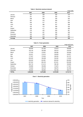#### **Table 9. Electricity maximum demand**

<span id="page-26-0"></span>

|           |      |      |      | mega watts |
|-----------|------|------|------|------------|
|           | 2007 | 2008 | 2009 | 2010       |
| January   | 337  | 359  | 332  | 316        |
| February  | 341  | 370  | 350  | 318        |
| March     | 336  | 335  | 326  | 302        |
| April     | 307  | 316  | 283  | 274        |
| May       | 320  | 317  | 321  | 282        |
| June      | 418  | 386  | 347  | 339        |
| July      | 434  | 412  | 389  | 400        |
| August    | 426  | 411  | 403  | 399        |
| September | 376  | 424  | 390  | 361        |
| October   | 345  | 327  | 332  | 326        |
| November  | 345  | 323  | 298  | 297        |
| December  | 366  | 314  | 315  | 323        |
| Average   | 363  | 358  | 341  | 328        |

#### **Table 10. Power generation**

|           |           |           |           | mega watt hours |
|-----------|-----------|-----------|-----------|-----------------|
|           | 2007      | 2008      | 2009      | 2010            |
| January   | 180,484   | 191,504   | 175,673   | 169,996         |
| February  | 163,140   | 183,599   | 163,516   | 153,978         |
| March     | 177.618   | 178,957   | 169,586   | 162,568         |
| April     | 164,451   | 172,613   | 156,629   | 152,877         |
| May       | 177.057   | 179,504   | 168,350   | 161,707         |
| June      | 200,405   | 162,638   | 183,332   | 174,532         |
| July      | 232,255   | 242,991   | 222,045   | 220.690         |
| August    | 237,344   | 236,165   | 231,631   | 222,289         |
| September | 204,716   | 213,413   | 198,169   | 190,065         |
| October   | 192,899   | 183,656   | 175,875   | 177,227         |
| November  | 175,633   | 164,018   | 158,076   | 161,046         |
| December  | 190,294   | 166,834   | 164,758   | 166,137         |
| TOTAL     | 2,296,296 | 2,275,892 | 2,167,640 | 2,113,112       |

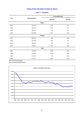#### **POPULATION AND MAIN CAUSES OF DEATH**

<span id="page-27-0"></span>

|                |                         | Increase/decrease |          |  |  |  |  |  |
|----------------|-------------------------|-------------------|----------|--|--|--|--|--|
| Year           | <b>Total population</b> | Absolute          | Per cent |  |  |  |  |  |
|                | <b>Males</b>            |                   |          |  |  |  |  |  |
| 2007           | 204,106                 | 1,493             | 0.74     |  |  |  |  |  |
| 2008           | 205,873                 | 1,767             | 0.87     |  |  |  |  |  |
| 2009           | 206,315                 | 442               | 0.21     |  |  |  |  |  |
| 2010           | 207,586                 | 1,271             | 0.62     |  |  |  |  |  |
| <b>Females</b> |                         |                   |          |  |  |  |  |  |
| 2007           | 206,184                 | 987               | 0.48     |  |  |  |  |  |
| 2008           | 207,736                 | 1,552             | 0.75     |  |  |  |  |  |
| 2009           | 208,057                 | 321               | 0.15     |  |  |  |  |  |
| 2010           | 210,031                 | 1,974             | 0.95     |  |  |  |  |  |
|                | Total                   |                   |          |  |  |  |  |  |
| 2007           | 410,290                 | 2,480             | 0.61     |  |  |  |  |  |
| 2008           | 413,609                 | 3,319             | 0.81     |  |  |  |  |  |
| 2009           | 414,372                 | 763               | 0.18     |  |  |  |  |  |
| 2010           | 417,617                 | 3,245             | 0.78     |  |  |  |  |  |

#### **Table 11. Population**

Note: As at end December.

Source: National Statistics Office.

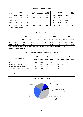#### **Table 12. Demographic events**

<span id="page-28-0"></span>

| Year |       | Live births    |       | Crude<br>birth |                  | Crude<br>marriage |       | <b>Deaths</b>  |       | Crude<br>death |
|------|-------|----------------|-------|----------------|------------------|-------------------|-------|----------------|-------|----------------|
|      | Males | <b>Females</b> | Total | rate*          | <b>Marriages</b> | rate*             | Males | <b>Females</b> | Total | rate*          |
| 2007 | 2.036 | 1.835          | 3,871 | 9.5            | 2,479            | 6.1               | 1.610 | 1.501          | 3.111 | 7.6            |
| 2008 | 2.151 | 1.975          | 4,126 | 10.0           | 2,482            | 6.0               | 1.668 | 1,575          | 3.243 | 7.9            |
| 2009 | 2.146 | 1.997          | 4,143 | 10.0           | 2.353            | 5.7               | 1.672 | 1.549          | 3.221 | 7.8            |
| 2010 | 2.056 | 1.952          | 4,008 | 9.6            | 2.596            | 6.2               | 1.489 | 1.521          | 3.010 | 7.2            |

\* Per 1,000 mid-year population

Source: National Statistics Office.

#### **Table 13. Mean age at marriage**

|                | 2007  |                | 2008  |                |       | 2009           |       | 2010           |  |
|----------------|-------|----------------|-------|----------------|-------|----------------|-------|----------------|--|
|                | Males | <b>Females</b> | Males | <b>Females</b> | Males | <b>Females</b> | Males | <b>Females</b> |  |
| First marriage | 29.8  | 27.6           | 30.1  | 28.0           | 30.4  | 28.1           | 30.6  | 28.0           |  |
| Other marriage | 46.9  | 41.6           | 48.7  | 44.1           | 48.1  | 43.1           | 47.5  | 42.1           |  |

 Note: The 'Other Marriage' category includes persons whose previous marital status was that of widowed or divorced. Source: National Statistics Office.

#### **Table 14. Mortality rate by sex and major cause of death**

|                                            | 2007  |                | 2008  |                | 2009  |                | 2010         |                |
|--------------------------------------------|-------|----------------|-------|----------------|-------|----------------|--------------|----------------|
| Major cause of death                       | Males | <b>Females</b> | Males | <b>Females</b> | Males | <b>Females</b> | <b>Males</b> | <b>Females</b> |
| Neoplasms                                  | 28.2  | 24.9           | 29.2  | 23.4           | 28.1  | 24.7           | 30.8         | 26.8           |
| Diseases of the circulatory system         | 37.3  | 44.2           | 37.2  | 41.5           | 36.8  | 40.9           | 34.3         | 42.2           |
| Diseases of the respiratory system         | 10.3  | 7.7            | 9.6   | 8.7            | 10.9  | 7.7            | 11.0         | 8.5            |
| External causes of morbidity and mortality | 6.3   | 2.6            | 5.2   | 3.2            | 5.6   | 2.4            | 6.0          | 2.0            |
| Other causes                               | 17.9  | 20.6           | 18.8  | 23.2           | 18.6  | 24.3           | 18.0         | 20.6           |

Source: Department of Health Information and Research.

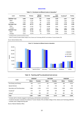#### **EDUCATION**

<span id="page-29-0"></span>

| Level           | <b>Pre-Primary</b> | Primary | <b>Special</b><br><b>Schools</b> | Secondary | Post-<br>secondary | Vocational <sup>2</sup> | Tertiarv |
|-----------------|--------------------|---------|----------------------------------|-----------|--------------------|-------------------------|----------|
| 2006/2007 Total | 8,698              | 27.805  | 255                              | 27.285    | 5.940              | 6,021                   | 9,555    |
| Males           | 4.448              | 14.287  | 168                              | 14.222    | 2.598              | 3.865                   | 3,997    |
| Females         | 4.250              | 13.518  | 87                               | 13.063    | 3.342              | 2.156                   | 5.558    |
| 2007/2008 Total | 8,530              | 26,772  | 240                              | 26,218    | 5,572              | 6,750                   | 9,238    |
| Males           | 4,328              | 13.722  | 159                              | 13.466    | 2.361              | 4.363                   | 3,904    |
| Females         | 4.202              | 13.050  | 81                               | 12.752    | 3.211              | 2.387                   | 5.334    |
| 2008/2009 Total | 8.290              | 25.725  | 221                              | 25.621    | 5,768              | 8.842                   | 9,719    |
| Males           | 4.275              | 13.146  | 145                              | 13.367    | 2.464              | 5.924                   | 4,103    |
| Females         | 4.015              | 12.579  | 76                               | 12.254    | 3.304              | 2.918                   | 5.616    |

#### **Table 15. Enrolment at different levels of education 1**

1 Including full-time, part-time and short courses

 $2$  Refers to students enrolled at Malta College of Arts, Science and Technology (MCAST) and Institute of Tourism Studies (ITS)

Source: National Statistics Office.



#### Table 16. Teaching staff<sup>1</sup> by educational level and sex

| Level                        | 2006/2007 |                | 2007/2008 |                | 2008/2009    |                |
|------------------------------|-----------|----------------|-----------|----------------|--------------|----------------|
|                              | Males     | <b>Females</b> | Males     | <b>Females</b> | <b>Males</b> | <b>Females</b> |
| Pre-Primary and Primary      | 333       | 3.171          | 327       | 3.095          | 305          | 3,070          |
| Special Schools              | 25        | 142            | 23        | 135            | 22           | 132            |
| Secondary and Post-Secondary | 1.588     | 2.783          | 1.575     | 2.799          | 1.609        | 2,879          |
| Vocational <sup>2</sup>      | 213       | 127            | 236       | 128            | 235          | 125            |
| Tertiary <sup>3</sup>        | 644       | 266            | 607       | 361            | 881          | 390            |
| Total                        | 2.803     | 6.489          | 2.768     | 6.518          | 3.052        | 6,596          |

<sup>1</sup> Includes staff not directly engaged in teaching (eg. administration and facilitators)

 $^2$  Vocational education comprises the Institute of Tourism Studies (ITS) and Malta College of Arts, Science and Technology (MCAST)

<sup>3</sup> Includes Junior College lecturing staff

Source: National Statistics Office.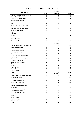<span id="page-30-0"></span>

|                                          | 2006/2007      |                |                          |
|------------------------------------------|----------------|----------------|--------------------------|
| <b>Field of study</b>                    | <b>Males</b>   | <b>Females</b> | Total                    |
| Teacher training and educational science | 44             | 139            | 183                      |
| Humanities and the Arts                  | 137            | 201            | 338                      |
| Social and behavioural science           | 86             | 169            | 255                      |
| Journalism and information               | ÷.             | L.             | $\overline{\phantom{a}}$ |
| Business and administration              | 209            | 271            | 480                      |
| Law                                      | 136            | 179            | 315                      |
| Science, Mathematics and Statistics      | 35             | 62             | 97                       |
| Computing                                | 68             | 18             | 86                       |
| Engineering and engineering trades       | 72             | 19             | 91                       |
| Architecture and building                | 62             | 37             | 99                       |
| Agriculture, forestry and fishery        |                |                |                          |
| Veterinary                               |                |                |                          |
| Health                                   | 77             | 157            | 234                      |
| Social services                          | 3              | $\overline{2}$ | 5                        |
| Personal services                        | 10             | 15             | 25                       |
| Security services                        |                |                |                          |
| <b>Total</b>                             | 939            | 1,269          | 2,208                    |
|                                          |                | 2007/2008      |                          |
| Teacher training and educational science | 57             | 262            | 319                      |
| Humanities and the Arts                  | 164            | 267            | 431                      |
|                                          |                |                |                          |
| Social and behavioural science           | 55             | 103            | 158                      |
| Journalism and information               | 10             | 8              | 18                       |
| Business and administration              | 294            | 322            | 616                      |
| Law                                      | 155            | 259            | 414                      |
| Science, Mathematics and Statistics      | 46             | 37             | 83                       |
| Computing                                | 80             | 27             | 107                      |
| Engineering and engineering trades       | 68             | 16             | 84                       |
| Architecture and building                | 27             | 14             | 41                       |
| Agriculture, forestry and fishery        | $\overline{2}$ |                | $\overline{2}$           |
| Veterinary                               |                |                |                          |
| Health                                   | 96             | 225            | 321                      |
| Social services                          | 11             | 41             | 52                       |
| Personal services                        | 17             | 30             | 47                       |
| Security services                        |                |                |                          |
| <b>Total</b>                             | 1,082          | 1,611          | 2,693                    |
|                                          |                | 2008/2009      |                          |
| Teacher training and educational science | 75             | 289            | 364                      |
| Humanities and the Arts                  | 182            | 277            | 459                      |
| Social and behavioural science           | 67             | 130            | 197                      |
| Journalism and information               | $\overline{4}$ | $\overline{7}$ | 11                       |
| Business and administration              | 237            | 294            | 531                      |
| Law                                      | 156            | 261            | 417                      |
| Science, Mathematics and Statistics      | 60             | 49             | 109                      |
| Computing                                | 122            | 37             | 159                      |
| Engineering and engineering trades       | 100            | 20             | 120                      |
| Architecture and building                | 15             | 25             | 40                       |
| Agriculture, forestry and fishery        | 19             | 3              | 22                       |
| Veterinary                               | $\mathbf{1}$   | $\overline{a}$ | 1                        |
| Health                                   | 76             | 182            | 258                      |
| Social services                          | 27             | 94             | 121                      |
| Personal services                        | 9              | 26             | 35                       |
| Security services                        |                |                | ÷.                       |
| Total                                    | 1.150          | 1.694          | 2.844                    |

#### **Table 17. University of Malta graduates by field of study**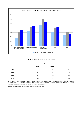<span id="page-31-0"></span>

#### **Table 18. Percentage of early school-leavers**

| Year |              | Sex            | Total |
|------|--------------|----------------|-------|
|      | <b>Males</b> | <b>Females</b> |       |
| 2007 | 41.7         | 36.1           | 39.0  |
| 2008 | 40.3         | 34.9           | 37.7  |
| 2009 | 40.1         | 33.2           | 36.8  |
| 2010 | 40.9         | 32.3           | 36.9  |

Note: The term 'Early school-leavers' refers to persons between 18-24 years of age who have achieved lower secondary school level or less and who are not in further education. Students on holiday are considered as persons in education. This indicator has been calculated as a percentage of the total population in the same age bracket.

Source: National Statistics Office, Labour Force Survey annualised data.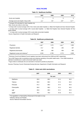#### **HEALTHCARE**

|  | Table 19. Healthcare facilities |
|--|---------------------------------|
|--|---------------------------------|

<span id="page-32-0"></span>

|                                         | 2007 | 2008   | 2009     | 2010     |
|-----------------------------------------|------|--------|----------|----------|
| Acute care hospitals                    |      |        |          |          |
| Average acute care length of stay (LOS) | 4.3  | $4.9*$ | $4.8***$ | $5.0***$ |

<sup>1</sup> Average LOS calculated for state hospitals only

Note: Acute care refers to short stay.

\* 4.9 days refer to actual average LOS in the 2 main acute state hospitals i.e. Mater Dei Hospital and Gozo General Hospital

\*\* 4.8 days refer to actual average LOS in acute state hospitals - i.e. Mater Dei Hospital, Gozo General Hospital, Sir Paul Boffa Hospital

\*\*\* 5.0 days refer to actual average LOS in acute state and private hospitals

Source: Department of Health Information and Research.

#### **Table 20. Healthcare professionals**

|                                             | 2007             | 2008  | 2009               | 2010  |
|---------------------------------------------|------------------|-------|--------------------|-------|
| Physicians                                  | 1.357            | 1,374 | 1.541 <sup>3</sup> | 1,602 |
| Registered dentists                         | 175 <sup>1</sup> | 183   | 200                | 207   |
| Registered pharmacists                      | 630              | 692   | 659                | 925   |
| Registered nurses and midwives <sup>2</sup> | 2,540            | 2,783 | 2.712              | 2,838 |

1 Pharmacy Council and Medical Council registers have been restructured from 2006 and 2007 respectively

 $2$  Up to 2007 figures refer to practising nurses and midwives operating in the public health sector. From 2008 onwards an estimate of practitioners in public and private health was made

<sup>3</sup> Figure refers to individuals who are warranted or licensed to practise as physicians

Sources: Pharmacy Council; Directorate Nursing Services; Department of Health Information and Research.

|                  | 2007 | 2008     | 2009 | 2010 |
|------------------|------|----------|------|------|
|                  |      | Per cent |      |      |
| Diphtheria       | 83.6 | 88.0     | 91.4 | 94.0 |
| Tetanus          | 83.6 | 88.0     | 91.4 | 94.0 |
| Pertussis        | 81.2 | 88.0     | 91.4 | 94.0 |
| Poliomyelitis    | 83.6 | 88.0     | 91.4 | 94.0 |
| HIB <sup>1</sup> | 83.6 | 88.0     | 91.4 | 94.0 |
| MMR <sup>2</sup> | 78.5 | 78.0     | 81.8 | 97.2 |

#### **Table 21. Infant and child vaccinations**

<sup>1</sup> Full appellation is Haemophilus Influenzae B; this leads to croup

<sup>2</sup> Measles, Mumps and Rubella

Source: National Immunisation Service.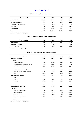## **SOCIAL SECURITY**

#### **Table 22. Claims for short-term benefits**

<span id="page-33-0"></span>

| Type of benefit              | 2007    | 2008    | 2009    | 2010    |
|------------------------------|---------|---------|---------|---------|
| Sickness benefit             | 106.440 | 126.667 | 126.597 | 116.363 |
| Unemployment benefit         | 18.514  | 17.349  | 20.158  | 18,173  |
| Special unemployment benefit | 959     | 878     | 1.078   | 803     |
| Injury benefit               | 4,235   | 3.951   | 3,198   | 3.171   |
| Marriage grant               | 3.404   | 3.180   | 3.177   | 3.514   |
| Total                        | 133,552 | 152.025 | 154.208 | 142,027 |

Source: Department of Social Security.

#### **Table 23. Families receiving child/family benefits**

| <b>Type of benefit</b>   | 2007   | 2008   | 2009   | 2010   |
|--------------------------|--------|--------|--------|--------|
| Child allowance          | 31.951 | 45.188 | 44.663 | 44.079 |
| Disabled child allowance | 682    | 709    | 747    | 768    |
| Maternity benefit        | 2.629  | 2.687  | 2.615  | 2,358  |

Source: Department of Social Security.

#### **Table 24. Persons receiving pensions/assistance**

| <b>Type of benefit</b>              | 2007   | 2008   | 2009   | 2010   |
|-------------------------------------|--------|--------|--------|--------|
| <b>Contributory pension</b>         | 72,202 | 74,377 | 76,221 | 79,182 |
| of which:                           |        |        |        |        |
| retirement pension                  | 9,159  | 9,297  | 9,585  | 9,874  |
| national minimum retirement pension | 8.118  | 8.022  | 8.404  | 8,516  |
| two-thirds pension                  | 24.765 | 27,453 | 29,744 | 32,144 |
| national minimum invalidity pension | 7,059  | 6,640  | 6,014  | 5,454  |
| national minimum widow's pension    | 8,488  | 8,486  | 8,359  | 8,223  |
| other                               | 14,613 | 14,479 | 14,115 | 14,971 |
| Non-contributory pension            | 7,516  | 7.519  | 7,475  | 7,475  |
| of which:                           |        |        |        |        |
| old age                             | 4,885  | 4,883  | 4,874  | 4,913  |
| disabled                            | 2,237  | 2,261  | 2,249  | 2,274  |
| other                               | 394    | 375    | 352    | 370    |
| Non-contributory assistance         | 61,259 | 60,407 | 59,704 | 58.172 |
| of which:                           |        |        |        |        |
| unemployment assistance             | 5,762  | 5,416  | 5,675  | 5,865  |
| social assistance                   | 10,770 | 11,246 | 11,350 | 11,662 |
| sickness assistance                 | 14,712 | 14.332 | 14,079 | 13,830 |
| supplementary allowance             | 29,789 | 29,163 | 28,358 | 26,612 |
| other                               | 226    | 250    | 242    | 203    |

Source: Department of Social Security.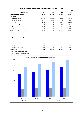<span id="page-34-0"></span>

|                                             |         |         |         | € 000   |
|---------------------------------------------|---------|---------|---------|---------|
| <b>Type of benefit</b>                      | 2007    | 2008    | 2009    | 2010    |
| <b>Total contributory benefits</b>          | 431,064 | 468,882 | 501,933 | 562,437 |
| of which:                                   |         |         |         |         |
| retirement pension                          | 262.147 | 293.990 | 319,507 | 369.892 |
| invalidity pension                          | 37,023  | 34,697  | 31,420  | 29.455  |
| widow's pension                             | 90.040  | 93.854  | 97.508  | 102.277 |
| sickness benefit                            | 6.228   | 6.446   | 6.368   | 6.400   |
| bonus                                       | 28.712  | 32.633  | 38.826  | 46.840  |
| other                                       | 6.915   | 7.261   | 8.303   | 7.573   |
| Total non-contributory benefits             | 141.234 | 155.949 | 159.904 | 168.915 |
| of which:                                   |         |         |         |         |
| children's allowance                        | 29,145  | 40,242  | 39.061  | 38,234  |
| pension in respect of age/visual impairment | 17,573  | 18,012  | 18,490  | 19,717  |
| disability pension                          | 9.340   | 10.226  | 10,365  | 10,966  |
| social assistance                           | 55,124  | 56,270  | 60.546  | 67,194  |
| medical assistance                          | 15,732  | 16.053  | 16.430  | 17,280  |
| bonus                                       | 7.793   | 8.807   | 9.036   | 9,754   |
| supplementary assistance                    | 6.527   | 6.339   | 5.977   | 5.770   |
| <b>Total benefits</b>                       | 572.298 | 624.831 | 661,837 | 731,351 |

#### **Table 25. Social benefits payable under the Social Security Act (Cap. 318)**

Note: Figures have been rounded.

Source: Department of Social Security.

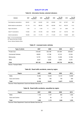### **QUALITY OF LIFE**

#### **Table 26. Information Society: selected indicators**

<span id="page-35-0"></span>

| Indicator                      | 2007    | <b>Per 100</b><br>Population | 2008    | <b>Per 100</b><br>Population | 2009    | Per 100<br>Population | 2010    | <b>Per 100</b><br>Population |
|--------------------------------|---------|------------------------------|---------|------------------------------|---------|-----------------------|---------|------------------------------|
| Fixed telephone subscriptions  | 226.951 | 55.6                         | 244.991 | 59.5                         | 245.852 | 59.5                  | 247.357 | 59.8                         |
| Mobile telephone subscriptions | 371.178 | 91.0                         | 385.092 | 93.5                         | 422.083 | 102.2                 | 455.579 | 110.2                        |
| Pager subscriptions            | 4.752   | 1.2                          | 4.129   | 1.1                          | 3.713   | 0.9                   | 3.694   | 0.9                          |
| Cable TV subscriptions         | 119.552 | 29.3                         | 127.345 | 30.9                         | 139.336 | 33.7                  | 143.753 | 34.8                         |
| Internet subscriptions         | 100.035 | 24.5                         | 111.779 | 27.1                         | 111.543 | 27.0                  | 119.599 | 28.9                         |

Notes: (1) As at end December.

(2) Figures have been rounded.

Source: National Statistics Office.

#### **Table 27. Licensed motor vehicles**

| Type of vehicle     | 2007    | 2008    | 2009    | 2010    |
|---------------------|---------|---------|---------|---------|
| <b>Private Cars</b> | 218.429 | 222.189 | 227.264 | 233,622 |
| Commercial Vehicles | 46.853  | 47,798  | 47.212  | 47,554  |
| Motorcycles         | 12.791  | 14.255  | 14.306  | 14,768  |
| Other               | 9.047   | 9.256   | 8.994   | 8,761   |
| Total               | 287,120 | 293.498 | 297,776 | 304,705 |
|                     |         |         |         |         |

Source: Transport Malta.

#### **Table 28. Road traffic accidents, cases by region**

| Region          | 2007   | 2008   | 2009   | 2010   |
|-----------------|--------|--------|--------|--------|
| Malta           | 15,382 | 14.242 | 14.131 | 13,068 |
| Gozo and Comino | 756    | 765    | 746    | 659    |
| Total           | 16.138 | 15,007 | 14,877 | 13,727 |

Sources: Police Department; Guard and Warden Services Ltd.

#### **Table 29. Road traffic accidents, casualties by region**

| Region          | 2007  | 2008  | 2009  | 2010  |
|-----------------|-------|-------|-------|-------|
| Malta           | 1,156 | 1,107 | 992   | 1,005 |
| Gozo and Comino | 53    | 65    | 77    | 74    |
| Total           | 1,209 | 1,172 | 1,069 | 1,079 |

Sources: Police Department; Guard and Warden Services Ltd.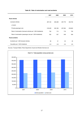|  | Table 30. Rate of motorisation and road accidents |  |  |
|--|---------------------------------------------------|--|--|
|--|---------------------------------------------------|--|--|

|                                                                | 2007    | 2008    | 2009    | 2010    |
|----------------------------------------------------------------|---------|---------|---------|---------|
| <b>Road vehicles</b>                                           |         |         |         |         |
| Licensed vehicles                                              | 287,120 | 293,498 | 297,776 | 304,705 |
| of which:                                                      |         |         |         |         |
| Private passenger cars                                         | 218,429 | 222,189 | 227,264 | 233,622 |
| Rate of motorisation (licensed vehicles per 1,000 inhabitants) | 700     | 710     | 719     | 730     |
| Rate of motorisation (passenger cars per 1,000 inhabitants)    | 532     | 537     | 548     | 559     |
| <b>Road accidents</b>                                          |         |         |         |         |
| Accidents per 1,000 licensed vehicles                          | 56      | 51      | 50      | 45      |
| Casualties per 1,000 inhabitants                               | 2.9     | 2.8     | 2.6     | 2.6     |

Sources: Transport Malta; Police Department; Guard and Warden Services Ltd.

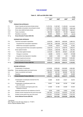## **THE ECONOMY**

## **Table 31. GDP and GNI (ESA 1995)**

|                       |                                                                       |                   |                   |                   | € 000             |
|-----------------------|-----------------------------------------------------------------------|-------------------|-------------------|-------------------|-------------------|
|                       |                                                                       | 2007 <sup>P</sup> | 2008 <sup>P</sup> | 2009 <sup>p</sup> | 2010 <sup>P</sup> |
| <b>ESA 95</b><br>Code |                                                                       |                   |                   |                   |                   |
|                       | PRODUCTION APPROACH                                                   |                   |                   |                   |                   |
| P.1                   | Output of goods and services (at basic prices)                        | 11,072,733        | 11,807,667        | 11,450,023        | 12,212,901        |
| P.2                   | Intermediate consumption (at purchasers' prices)                      | 6,354,935         | 6,710,437         | 6,396,843         | 6,851,230         |
| B.1g                  | Gross value added (at basic prices)                                   | 4,717,798         | 5,097,230         | 5,053,180         | 5,361,671         |
| D.21                  | Taxes on products                                                     | 800,198           | 828,575           | 797,166           | 822,401           |
| D.31                  | Subsidies on products                                                 | 62,923            | 86,023            | 20,072            | 20,419            |
| $B.1*g$               | Gross Domestic Product (ESA 95)                                       | 5,455,072         | 5,839,782         | 5,830,274         | 6,163,653         |
|                       | <b>EXPENDITURE APPROACH</b>                                           |                   |                   |                   |                   |
| P.3                   | Total final consumption expenditure                                   | 4,425,050         | 4,888,750         | 4,983,829         | 5,098,135         |
| P.3                   | Household final consumption expenditure                               | 3,294,738         | 3,584,096         | 3,657,496         | 3,712,777         |
| P.3                   | NPISH final consumption expenditure                                   | 87,994            | 88,541            | 87,634            | 91,842            |
| P.3                   | General government final consumption expenditure                      | 1,042,318         | 1,216,114         | 1,238,700         | 1,293,515         |
| P.5                   | Gross capital formation                                               | 1,158,524         | 1,038,768         | 860,143           | 854,780           |
| P.51                  | Gross fixed capital formation                                         | 1,181,581         | 993,725           | 876,601           | 1,041,282         |
| P.52                  | Changes in inventories                                                | $-32,685$         | 43,740            | $-16,007$         | $-167,609$        |
| P.53                  | Acquisitions less disposals of valuables                              | 9,629             | 1,303             | $-451$            | $-18,893$         |
| P.6                   | Exports of goods and services                                         | 4,867,035         | 5,126,055         | 4,592,944         | 5,435,390         |
| P.7                   | Imports of goods and services                                         | 4,995,537         | 5,213,791         | 4,606,642         | 5,224,652         |
| $B.1*g$               | <b>Gross Domestic Product (ESA 95)</b>                                | 5,455,072         | 5,839,782         | 5,830,274         | 6,163,653         |
|                       | <b>INCOME APPROACH</b>                                                |                   |                   |                   |                   |
| D.1                   | Compensation of employees                                             | 2,418,508         | 2,590,248         | 2,640,829         | 2,694,383         |
| B.2g+B.3g             | Gross operating surplus and mixed income                              | 2,321,942         | 2,516,862         | 2,420,354         | 2,677,776         |
| D.2                   | Taxes on production and imports                                       | 826,678           | 857,730           | 833,065           | 851,790           |
| D.3                   | Subsidies                                                             | 112,052           | 125,056           | 63,973            | 60,299            |
| $B.1*g$               | <b>Gross Domestic Product (ESA 95)</b>                                | 5,455,072         | 5,839,782         | 5,830,274         | 6,163,653         |
| D.1                   | Compensation of employees received from the<br>rest of the world      | 35,989            | 36,305            | 35,921            | 35,676            |
| D.1                   | Compensation of employees paid to the<br>rest of the world            | 32,651            | 32,462            | 30,782            | 27,865            |
| D.2                   | Taxes on production and imports paid to the<br>institutions of the EU | 24,936            | 27,490            | 20,580            | 20,425            |
| D.3                   | Subsidies received from the institutions of the EU                    | 8,239             | 6,029             | 10,802            | 19,780            |
| D.4                   | Property income received from the rest of the world                   | 1,937,540         | 2,175,316         | 1,616,975         | 1,611,163         |
| D.4                   | Property income paid to the rest of the world                         | 2,142,541         | 2,379,956         | 2,108,081         | 2,124,734         |
| $B.5^*g$              | Gross National Income (ESA 95)                                        | 5,236,712         | 5,617,524         | 5,334,529         | 5,657,248         |

<sup>p</sup> provisional<br>Note: Figures in line with news release no. 171/2011.<br>Source: National Statistics Office.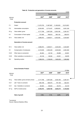|                       |                                      |                   |                      |                   | € 000             |
|-----------------------|--------------------------------------|-------------------|----------------------|-------------------|-------------------|
|                       |                                      |                   | <b>Total economy</b> |                   |                   |
| <b>ESA 95</b>         |                                      | 2007 <sup>p</sup> | 2008 <sup>p</sup>    | 2009 <sup>p</sup> | 2010 <sup>p</sup> |
| Code                  | <b>Production account</b>            |                   |                      |                   |                   |
|                       |                                      |                   |                      |                   |                   |
| P.1                   | Output                               | 11,072,733        | 11,807,667           | 11,450,023        | 12,212,901        |
| P.2                   | Intermediate consumption             | 6,354,935         | 6,710,437            | 6,396,843         | 6,851,230         |
| B.1g                  | Value added, gross                   | 4,717,798         | 5,097,230            | 5,053,180         | 5,361,671         |
| K.1                   | Consumption of fixed capital         | 731,926           | 768,619              | 800,150           | 826,974           |
| B.1n                  | Value added, net                     | 3,985,872         | 4,328,611            | 4,253,030         | 4,534,697         |
|                       | Generation of income account         |                   |                      |                   |                   |
| B.1n                  | Value added, net                     | 3,985,872         | 4,328,611            | 4,253,030         | 4,534,697         |
| D.1                   | Compensation of employees            | 2,418,508         | 2,590,248            | 2,640,829         | 2,694,383         |
| D.29                  | Other taxes on production            | 26,484            | 29,152               | 35,898            | 29,391            |
| D.39                  | Other subsidies on production (-)    | 49,136            | 39,032               | 43,901            | 39,878            |
| <b>B.2</b>            | Operating surplus                    | 1,590,016         | 1,748,243            | 1,620,203         | 1,850,802         |
|                       |                                      |                   |                      |                   |                   |
|                       | <b>Gross Domestic Product</b>        |                   |                      |                   |                   |
|                       |                                      |                   |                      |                   | € '000s           |
| <b>ESA 95</b><br>Code |                                      | 2007 <sup>P</sup> | 2008 <sup>p</sup>    | 2009 <sup>p</sup> | 2010 <sup>p</sup> |
| B.1g                  | Value added, gross (at basic prices) | 4,717,798         | 5,097,230            | 5,053,180         | 5,361,671         |
|                       |                                      |                   |                      |                   |                   |

## **Table 32. Production and generation of income accounts**

|               |                                      |                   |                   |                   | € '000s           |  |
|---------------|--------------------------------------|-------------------|-------------------|-------------------|-------------------|--|
| <b>ESA 95</b> |                                      | 2007 <sup>p</sup> | 2008 <sup>p</sup> | 2009 <sup>p</sup> | 2010 <sup>p</sup> |  |
| Code          |                                      |                   |                   |                   |                   |  |
|               |                                      |                   |                   |                   |                   |  |
| B.1g          | Value added, gross (at basic prices) | 4.717.798         | 5.097.230         | 5.053.180         | 5,361,671         |  |
| D.21          | add Taxes on products                | 800.198           | 828.575           | 797,166           | 822,401           |  |
| D.31          | less Subsidies on products           | 62,923            | 86,023            | 20,072            | 20,419            |  |
| $B.1*g$       | GDP at market prices                 | 5,455,072         | 5,839,782         | 5,830,274         | 6,163,653         |  |
|               |                                      |                   |                   |                   |                   |  |
|               | Rate of growth                       | 7.5%              | 7.1%              | $-0.2%$           | 5.7%              |  |

<sup>p</sup> provisional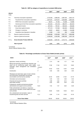## **Table 33. GDP by category of expenditure at constant 2000 prices**

|                       |                                                  |                   |                   |                   | € 000             |
|-----------------------|--------------------------------------------------|-------------------|-------------------|-------------------|-------------------|
|                       |                                                  | 2007 <sup>P</sup> | 2008 <sup>p</sup> | 2009 <sup>p</sup> | 2010 <sup>p</sup> |
| <b>ESA 95</b><br>Code |                                                  |                   |                   |                   |                   |
| P.3                   | Total final consumption expenditure              | 3,754,506         | 3,996,050         | 3,987,933         | 3,954,144         |
| P.3                   | Household final consumption expenditure          | 2,873,461         | 3.018.437         | 3,026,868         | 2,984,330         |
| P.3                   | NPISH final consumption expenditure              | 69,001            | 67,464            | 64,268            | 64,896            |
| P.3                   | General government final consumption expenditure | 812,044           | 910,149           | 896,797           | 904,918           |
| P.5                   | Gross capital formation                          | 957,943           | 787,521           | 609,340           | 556,266           |
| P.51                  | Gross fixed capital formation                    | 977,410           | 747,820           | 622,263           | 694,920           |
| P.52                  | Changes in inventories                           | $-27,857$         | 38,601            | $-12,563$         | $-124,298$        |
| P.53                  | Acquisitions less disposals of valuables         | 8,390             | 1,100             | $-360$            | $-14,356$         |
| P.6                   | Exports of goods and services                    | 4,236,688         | 4,345,826         | 3,957,737         | 4,683,388         |
| P.7                   | Imports of goods and services                    | 4,448,228         | 4,432,096         | 3,982,298         | 4,497,129         |
| $B.1*q$               | Gross Domestic Product (ESA 95)                  | 4,500,909         | 4,697,301         | 4,572,712         | 4,696,669         |
|                       | Rate of growth                                   | 4.3%              | 4.4%              | $-2.7%$           | 2.7%              |

p provisional

Source: National Statistics Office.

## **Table 34. Percentage contribution to Gross Value Added (at basic prices)**

| <b>NACE</b>                                                                                                                                             |                  | 2007 <sup>p</sup> | 2008 <sup>p</sup> | 2009 <sup>p</sup> | 2010 <sup>p</sup> |
|---------------------------------------------------------------------------------------------------------------------------------------------------------|------------------|-------------------|-------------------|-------------------|-------------------|
| Agriculture, forestry and fishing                                                                                                                       | A                | 2.14              | 1.58              | 1.77              | 1.63              |
| Mining and quarrying; manufacturing; electricity, gas<br>steam and air conditioning supply; water supply;<br>sewerage, waste management and remediation | B E<br>of which: | 17.82             | 17.49             | 15.78             | 15.80             |
| activities                                                                                                                                              | C                | 15.52             | 15.52             | 12.94             | 13.08             |
| Construction                                                                                                                                            | F                | 4.62              | 4.56              | 4.28              | 3.95              |
| Wholesale and retail trade; repair of motor vehicles<br>and motorcycles; transportation and storage;<br>accomodation and food service activities        | GI               | 24.40             | 23.06             | 21.92             | 21.79             |
| Information and communication                                                                                                                           | J                | 5.35              | 5.42              | 5.28              | 5.03              |
| Financial and insurance activities<br>Real estate activities                                                                                            | Κ<br>L           | 4.89<br>6.50      | 4.54<br>6.25      | 6.15<br>6.49      | 7.37<br>6.35      |
| Professional, scientific and technical activities;<br>administrative and support service activities                                                     | M <sub>N</sub>   | 7.54              | 7.47              | 8.26              | 8.39              |
| Public administration and defence; compulsory<br>social security; education; human health and social<br>work activities                                 | O Q              | 18.65             | 18.48             | 19.59             | 19.51             |
| Arts, entertainment and recreation, repair of<br>household goods and other services                                                                     | R U              | 8.09              | 11.16             | 10.48             | 10.18             |
| <b>Gross Value Added</b>                                                                                                                                |                  | 100.00            | 100.00            | 100.00            | 100.00            |

<sup>p</sup> provisional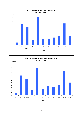

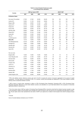#### **Table 35. Gross Domestic Product per capita in Purchasing Power Standards <sup>1</sup>**

|                          |        | GDP per head in PPS $^2$ |        |        |      | $(EU27=100)^3$ |      |      |
|--------------------------|--------|--------------------------|--------|--------|------|----------------|------|------|
| Country                  | 2007   | 2008                     | 2009   | 2010   | 2007 | 2008           | 2009 | 2010 |
| <b>EU Member States</b>  |        |                          |        |        |      |                |      |      |
| Euro area (16 countries) | 27,300 | 27,200                   | 25,500 | 26,400 | 109  | 109            | 109  | 108  |
| Austria (AT)             | 30,900 | 31,100                   | 29,300 | 30,800 | 124  | 124            | 125  | 126  |
| Belgium (BE)             | 28,900 | 28,900                   | 27,400 | 2,900  | 116  | 115            | 117  | 119  |
| Cyprus (CY)              | 23,100 | 24,200                   | 23,000 | 23,800 | 92   | 97             | 98   | 97   |
| Finland (FI)             | 29,400 | 29,600                   | 26,900 | 28,300 | 118  | 119            | 114  | 116  |
| France (FR)              | 26,900 | 26,500                   | 25,100 | 26,100 | 108  | 106            | 107  | 107  |
| Germany (DE)             | 28,900 | 28,900                   | 27,100 | 28,700 | 116  | 115            | 115  | 117  |
| Greece (EL)              | 22,500 | 23,100                   | 21,800 | 21,500 | 90   | 92             | 93   | 88   |
| Ireland (IE)             | 26,900 | 33,300                   | 30,000 | 31,100 | 148  | 133            | 128  | 127  |
| Italy (IT)               | 25,900 | 26,000                   | 24,400 | 24,300 | 104  | 104            | 104  | 100  |
| Luxembourg (LU)          | 68,600 | 69,600                   | 62,800 | 67,000 | 275  | 278            | 267  | 274  |
| Malta (MT)               | 19,100 | 19,600                   | 18,900 | 20,200 | 76   | 78             | 80   | 83   |
| The Netherlands (NL)     | 33,100 | 33,400                   | 30,700 | 32,600 | 132  | 133            | 131  | 133  |
| Portugal (PT)            | 19,600 | 19,500                   | 18,900 | 19,800 | 79   | 78             | 80   | 81   |
| Slovakia (SK)            | 17,000 | 18,100                   | 17,200 | 18,100 | 68   | 72             | 73   | 74   |
| Slovenia (SI)            | 22,100 | 22,800                   | 20,700 | 20,900 | 88   | 91             | 88   | 86   |
| Spain (ES)               | 26,200 | 25,900                   | 24,300 | 24,700 | 105  | 103            | 103  | 101  |
| Non euro area            |        |                          |        |        |      |                |      |      |
| Bulgaria (BG)            | 10,000 | 10,900                   | 10,400 | 10,600 | 40   | 43             | 44   | 44   |
| Czech Republic (CZ)      | 20,700 | 21,000                   | 19,900 | 20,100 | 83   | 84             | 84   | 82   |
| Denmark (DK)             | 30,600 | 30,800                   | 28,400 | 30,400 | 123  | 123            | 121  | 125  |
| Estonia (EE)             | 17,500 | 17,200                   | 15,000 | 15,700 | 70   | 69             | 64   | 64   |
| Hungary (HU)             | 15,400 | 16,000                   | 15,000 | 15,500 | 62   | 64             | 64   | 63   |
| Latvia (LV)              | 13,900 | 14,000                   | 12,200 | 12,600 | 56   | 56             | 52   | 52   |
| Lithuania (LT)           | 14,800 | 15,400                   | 12,900 | 14,200 | 59   | 61             | 55   | 58   |
| Poland (PL)              | 13,600 | 14,100                   | 14,300 | 15,300 | 54   | 56             | 61   | 62   |
| Romania (RO)             | 10,400 | 11,700                   | 10,900 | 11,000 | 42   | 47             | 46   | 45   |
| Sweden (SE)              | 31,200 | 30,800                   | 28,000 | 30,100 | 125  | 123            | 119  | 123  |
| United Kingdom (UK)      | 29,000 | 28,500                   | 26,500 | 27,900 | 116  | 114            | 113  | 114  |
|                          |        |                          |        |        |      |                |      |      |

<sup>1</sup> PPS is the artificial common reference currency unit used in the EU to express the volume of economic aggregates for the purpose of spatial comparisons - the basic figures are expressed in PPS, i.e a common currency that eliminates the differences in price levels between countries allowing volume comparisons between countries

<sup>2</sup> GDP in terms of current prices, expressed in millions of PPS (Purchasing Power Standards). Expressing GDP in PPS (Purchasing Power Standards) eliminates differences in price levels between countries, and calculations on a per head basis allows for the comparison of economies significantly different in absolute size

<sup>3</sup> This is the volume index of GDP per capita in Purchasing Power Standards (PPS); it should be noted that this indicator has been rescaled i.e. data is now expressed in relation to the European Union average set to equal 100 (EU27=100): thus they are not comparable with data based on EU25 = 100. The per capita volume index represents the real volume of GDP in per capita terms in relation to the European Union (EU27) average set equal  $100$ 

#### f Forecast

Source: Eurostat database (indicators) as at 12/10/2011.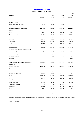#### **GOVERNMENT FINANCE**

#### **Table 36. Consolidated Fund data**

|                                                    |             |            |            | € 000      |
|----------------------------------------------------|-------------|------------|------------|------------|
| Aggregates                                         | 2007        | 2008       | 2009       | 2010       |
| Total revenue                                      | 2,365,394   | 2,621,197  | 2,829,358  | 3,103,043  |
| less loans                                         | 126,040     | 285,735    | 455,793    | 577,687    |
| less sale of shares                                |             |            |            |            |
| less other extraordinary receipts                  | 14,894      | 33,318     | 2,795      |            |
| Revenue (less financial transactions)              | 2,224,459   | 2,302,145  | 2,370,770  | 2,525,356  |
| of which:                                          |             |            |            |            |
| Grants                                             | 56,314      | 30,223     | 72,912     | 91,934     |
| <b>Customs and Excise</b>                          | 184,978     | 177,775    | 174,371    | 187,739    |
| Value Added Tax                                    | 421,775     | 455,349    | 454,027    | 482,538    |
| Income tax                                         | 663,430     | 735,899    | 739,443    | 801,231    |
| Social security                                    | 480,243     | 510,143    | 526,100    | 552,076    |
| Others                                             | 417,720     | 392,756    | 403,916    | 409,837    |
| Total expenditure                                  | 2,354,806   | 2,653,155  | 2,937,764  | 3,031,978  |
| less contribution to Sinking Fund in respect of    |             |            |            |            |
| local and foreign loans                            | 21,214      | 18,199     | 16,968     | 16,198     |
| less direct loan repayment                         |             | 93,176     | 252,464    | 191,242    |
| less equity ecquisition                            |             | 6,500      | 541        | 200        |
| less loans                                         |             |            | ä,         | 19,770     |
| Total expenditure (less financial transactions)    | 2,333,593   | 2,535,281  | 2,667,791  | 2,804,568  |
| consisting of:                                     |             |            |            |            |
| Recurrent expenditure                              | 1,896,636   | 2,124,093  | 2,204,421  | 2,296,343  |
| of which:                                          |             |            |            |            |
| Education                                          | 123,854     | 129,098    | 134,494    | 141,931    |
| Social security (benefits)                         | 572,298     | 624,831    | 661,837    | 731,351    |
| Others                                             | 1,200,483   | 1,370,165  | 1,408,090  | 1,423,060  |
| Interest payments                                  | 179,053     | 189,038    | 192,023    | 196,755    |
| Capital programme                                  | 257,904     | 222,150    | 271,346    | 311,470    |
| Productive investment                              | 47,781      | 51,118     | 85,331     | 57,734     |
| Infrastructure                                     | 113,418     | 115,696    | 121,874    | 199,725    |
| Social                                             | 96,704      | 55,336     | 64,142     | 54,011     |
| Balance of recurrent revenue and total expenditure | $-109, 133$ | $-233,136$ | $-297,021$ | $-279,212$ |

Note: (1) For comparability with the Maastricht deficit criteria refer to Table 37 - 'Transition between the Consolidated Fund and the General Government Sector'.

Source: The Treasury.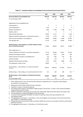|                                                                                              |             |            |            |             | € UUU |
|----------------------------------------------------------------------------------------------|-------------|------------|------------|-------------|-------|
|                                                                                              | 2007        | 2008       | 2009       | 2010        |       |
| <b>Structural Deficit of Consolidated Fund</b>                                               | $-109, 133$ | -233,136   | -297,021   | $-279,212$  |       |
| As a percentage of GDP                                                                       | 2.0         | 4.0        | 5.1        | 4.5         |       |
| Adjustments to the Consolidated Fund:                                                        |             |            |            |             |       |
| Loans granted $(+)$                                                                          | 0           | 0          | 0          | $\mathbf 0$ |       |
| Loans repayments (-)                                                                         | $-1.165$    | 0          | 0          | $\Omega$    | 2     |
| Equities, acquisitions (+)                                                                   | 3,480       | 3,078      | 1,539      | 2,311       | 3     |
| Equities, sales (-)                                                                          | 0           | $\Omega$   | 0          | 0           |       |
| Other financial transactions                                                                 | $-16,942$   | $-9,141$   | $\Omega$   | $-1,209$    | 4     |
| Difference between interest paid (+) and interest accrued (-)                                | $-3,758$    | $-2,770$   | 223        | 1,512       | 5     |
| Other accounts receivable (+) and payable (-)                                                | $-30,628$   | 42,800     | $-17,658$  | 62,785      | 6     |
| Time adjusted cash                                                                           | 15,132      | 11,201     | 24,308     | $-31,960$   | 7     |
| Net Borrowing (-) / Net Lending (+) of public entities forming<br>part of Central Government | $-27,903$   | $-38,042$  | 82,015     | $-12,386$   | 8     |
| Other adjustments $(+/-)$                                                                    |             |            |            |             |       |
| Treasury Clearance Fund flows in non-financial transactions                                  | 15,179      | $-55,636$  | $-15,814$  | 35,108      |       |
| Sinking Fund interests' received                                                             | 8,037       | 6,344      | 1,394      | 993         |       |
| Interest received not included in consolidated fund                                          | 242         | 1.462      | 535        | 261         |       |
| Interest receivable                                                                          | $-1,330$    | $-315$     | $-5$       | 165         |       |
| Adjustment Stock premium proceeds                                                            | $-3,476$    | 5,637      | 2,882      | $-278$      |       |
| Time Adjustment re Sale of Land                                                              | 23,993      | 0          | 0          | $\Omega$    |       |
| Net Borrowing (-) / Net Lending (+) of Central Government<br>(S.1311)                        | $-128,272$  | $-268,516$ | $-217,604$ | $-221,911$  |       |
| Net Borrowing (-) / Net Lending (+) of Local Government (S.1313)                             | $-215$      | 223        | 860        | $-313$      | 10    |
| Net Borrowing (-) / Net Lending (+) of General Government<br>(S.13)                          | $-128,487$  | -268,293   | -216,744   | -222,224    |       |
| As a percentage of GDP                                                                       | 2.4         | 4.6        | 3.7        | 3.6         |       |

#### **Table 37. Transition between Consolidated Fund and General Government Sector 1**

 $0.000$ 

1. Data in tables 36 and 37 are in line with the EDP submission of September 2011, as reported in News Release No. 201/2011 of 21 October 2011.

2. Repayments of loans made by Water Services Corporation.

3. Acquisition of shares in international agencies.

4. Non-trading profits included in Central Bank of Malta transfers to Government. For 2007, it also includes privatisation receipts amounting to €10.0 million.

5. Difference between the interest paid and accrued of the Treasury Bills, Malta Government Stocks and Foreign Loans.

6. Accruals adjustment: including all Budgetary Central Government.

7. In line with Council Regulation 2516/2000, the method of recording of taxes and social contributions is the time-adjusted method.

8. The aggregated net borrowing (-) / net lending (+) of the extra budgetary units forming part of the Central Government Sector (based on a delimitation exercise).

 ownership of the land. 9. Although this amount was received in 2006, according to ESA95 rules revenue it is accounted for after the actual transfer

10. The aggregated net borrowing (-) / net lending (+) of the 68 local councils.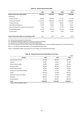|                                                   | Table 38. General Government Debt |           |           |           |
|---------------------------------------------------|-----------------------------------|-----------|-----------|-----------|
|                                                   |                                   |           |           | € 000     |
|                                                   | 2007                              | 2008      | 2009      | 2010      |
| General Government debt position                  | 3,385,035                         | 3,632,489 | 3,954,037 | 4,250,398 |
| consisting of:                                    |                                   |           |           |           |
| Treasury bills (a)                                | 354.936                           | 365.804   | 474.137   | 377.760   |
| Government stock (b)                              | 2,753,324                         | 2,954,420 | 3,216,381 | 3,603,616 |
| Foreign borrowing                                 | 121,247                           | 114.071   | 100.631   | 87,701    |
| Other debt assumptions (c)                        | 57,033                            | 56,391    | 55,150    | 56,374    |
| Euro coins issued in the name of the Treasury (d) | 8.318                             | 31.171    | 37.154    | 40.957    |
| <b>Extra Budgetary Units</b>                      | 87.310                            | 107.979   | 67.706    | 80,380    |
| <b>Local Councils</b>                             | 2,867                             | 2,654     | 2,878     | 3,610     |
|                                                   |                                   |           |           |           |

## **Table 38. General Government Debt**

(a) Treasury bills are quoted at nominal prices.

(b) Consolidated between the different sub-sectors of General Government. (c) Includes loans of Ex-Malta Drydocks and Ex-Malta Shipbuilding.

(d) Euro coins issued in the name of the Treasury are being considered as a currency liability pertaining to the Central Government.

**General Government debt as a percentage of GDP** 62.1 62.2 67.8 69.0

Note: (1) The General Government debt is in line with Maastricht debt criteria.

Source: Central Bank of Malta, quoting data from The Treasury and the Malta Stock Exchange.

|                                  |           |           | € 000     |
|----------------------------------|-----------|-----------|-----------|
| <b>COFOG</b>                     | 2007      | 2008      | 2009      |
| General public services          | 347,339   | 395,800   | 420.942   |
| Defence                          | 35,601    | 38,103    | 51,935    |
| Public order and safety          | 80,263    | 86,256    | 90,242    |
| Economic affairs                 | 324,965   | 432,062   | 293,572   |
| Environment protection           | 86,962    | 94,863    | 103,459   |
| Housing and community amenities  | 33,595    | 40,134    | 16,923    |
| Health                           | 315,643   | 316,008   | 324,140   |
| Recreation, culture and religion | 31,602    | 36,178    | 35,807    |
| Education                        | 295,812   | 311,328   | 321,731   |
| Social protection                | 772,703   | 822,037   | 866,762   |
| Total                            | 2,324,485 | 2,572,769 | 2,525,513 |

## **Table 39. General Government expenditure by function**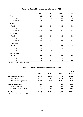|                            | 2007           | 2008  | 2009 | 2010  |
|----------------------------|----------------|-------|------|-------|
| <b>Total</b>               | 982            | 1,074 | 955  | 1,015 |
| Full-time                  | 30             | 47    | 54   | 47    |
| Part-time                  | 952            | 1,027 | 901  | 968   |
| <b>PhD Researchers</b>     |                |       |      |       |
| Total                      | 439            | 465   | 408  | 434   |
| Full-time                  | $\overline{2}$ | 8     | 8    | 9     |
| Part-time                  | 437            | 457   | 400  | 425   |
| <b>Non PhD Researchers</b> |                |       |      |       |
| Total                      | 299            | 345   | 263  | 284   |
| Full-time                  | 12             | 16    | 14   | 11    |
| Part-time                  | 287            | 329   | 249  | 273   |
| <b>Technicians</b>         |                |       |      |       |
| Total                      | 88             | 83    | 90   | 90    |
| Full-time                  | 14             | 14    | 15   | 15    |
| Part-time                  | 74             | 69    | 75   | 75    |
| <b>Support Staff</b>       |                |       |      |       |
| Total                      | 156            | 181   | 194  | 207   |
| Full-time                  | $\overline{2}$ | 9     | 17   | 12    |
| Part-time                  | 154            | 172   | 177  | 195   |

# **Table 40. General Government employment in R&D**

Source: National Statistics Office.

# **Table 41. General Government expenditure on R&D**

|                              |        |        |        | € 000  |
|------------------------------|--------|--------|--------|--------|
|                              | 2007   | 2008   | 2009   | 2010   |
| <b>Recurrent expenditure</b> | 10.614 | 10,535 | 11,012 | 12,207 |
| Labour costs                 | 6.930  | 7.514  | 8,475  | 9,242  |
| Other recurrent expenditure  | 3.684  | 3,020  | 2.537  | 2,966  |
| Capital expenditure          | 334    | 712    | 625    | 3,508  |
| Land and buildings           | 205    | 451    | 462    | 1,159  |
| Instruments and equipment    | 129    | 260    | 163    | 2,349  |
| Total expenditure            | 10,948 | 11,247 | 11,637 | 15,715 |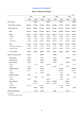## **BALANCE OF PAYMENTS**

## **Table 42. Balance of Payments**

|                                      | 2007 <sup>p</sup>        |                | 2008 <sup>p</sup>        |                          | 2009 <sup>p</sup>        |                          | 2010 <sup>p</sup>        | € 000                    |
|--------------------------------------|--------------------------|----------------|--------------------------|--------------------------|--------------------------|--------------------------|--------------------------|--------------------------|
|                                      |                          |                |                          |                          |                          |                          |                          |                          |
|                                      | Credit                   | <b>Debit</b>   | Credit                   | <b>Debit</b>             | Credit                   | <b>Debit</b>             | Credit                   | Debit                    |
| <b>Current Account</b>               | $\overline{\phantom{a}}$ | 343,200        | $\overline{\phantom{a}}$ | 295,043                  | $\overline{\phantom{a}}$ | 426,728                  | $\overline{\phantom{a}}$ | 243.480                  |
| Goods, Services and Income           | 6,864,940                | 7,179,309      | 7,337,662                | 7,626,201                | 6,245,835                | 6,715,180                | 7,082,224                | 7,353,980                |
| <b>Goods and Services</b>            | 4,891,412                | 5,004,121      | 5,126,043                | 5,213,785                | 4,592,939                | 4,576,318                | 5,435,386                | 5,201,384                |
| Goods                                | 2,406,704                | 3,388,198      | 2,174,098                | 3,399,157                | 1,735,207                | 2,758,999                | 2,333,680                | 3,296,321                |
| <b>Services</b>                      | 2,484,707                | 1,615,923      | 2,951,945                | 1,814,627                | 2,857,732                | 1,817,319                | 3,101,706                | 1,905,062                |
| Transport                            | 308,886                  | 222,864        | 348,710                  | 206,236                  | 323,718                  | 205,632                  | 295,244                  | 273,215                  |
| Travel                               | 702,239                  | 172,695        | 729,230                  | 209,503                  | 639,820                  | 206,976                  | 813,854                  | 233,488                  |
| Other services                       | 1,473,582                | 1,220,363      | 1,874,005                | 1,398,889                | 1,894,194                | 1,404,711                | 1,992,608                | 1,398,359                |
| Income                               | 1,973,529                | 2,175,189      | 2,211,620                | 2,412,417                | 1,652,896                | 2,138,862                | 1.646.838                | 2,152,597                |
| Compensation of employees            | 35,989                   | 32,646         | 36,305                   | 32,462                   | 35,921                   | 30,782                   | 35,676                   | 27,864                   |
| Investment income                    | 1,937,540                | 2,142,542      | 2,175,315                | 2,379,955                | 1,616,975                | 2,108,080                | 1,611,163                | 2,124,733                |
| <b>Current Transfers</b>             | 639,533                  | 668,363        | 903,808                  | 910,317                  | 1,430,974                | 1,388,361                | 1,298,812                | 1,270,532                |
| <b>Capital and Financial Account</b> | 353,419                  | ٠              | 266,263                  | $\overline{\phantom{a}}$ | 249,820                  | ٠                        | $\blacksquare$           | 28,737                   |
| <b>Capital Account</b>               | 68,679                   |                | 24,577                   |                          | 100,756                  |                          | 106,450                  |                          |
| <b>Financial Account</b>             | 284,740                  |                | 241,686                  |                          | 149,064                  |                          |                          | 135,187                  |
| <b>Direct Investment</b>             | 724,243                  | ٠              | 363,058                  | ٠                        | 537,019                  | ٠                        | 722,404                  |                          |
| Abroad                               | $\overline{\phantom{a}}$ | 10.185         | $\overline{\phantom{a}}$ | 209.963                  | $\overline{\phantom{a}}$ | 96,407                   | $\overline{\phantom{a}}$ | 66,142                   |
| In Malta                             | 734.429                  | ٠              | 573,021                  |                          | 633.426                  | $\overline{\phantom{a}}$ | 788.545                  | $\overline{\phantom{a}}$ |
| <b>Portfolio Investment</b>          | 367,496                  | ٠              | 367,624                  |                          | $\overline{\phantom{a}}$ | 1,914,756                | $\overline{a}$           | 3,229,906                |
| Assets                               | 367,741                  | ٠              | 200,666                  |                          | $\overline{\phantom{a}}$ | 1,883,489                | $\blacksquare$           | 3,226,518                |
| Liabilities                          | $\blacksquare$           | 245            | 166,958                  |                          | $\blacksquare$           | 31,266                   | $\blacksquare$           | 3,388                    |
| <b>Financial Derivatives</b>         | 120,177                  | $\overline{a}$ | $\overline{\phantom{a}}$ | 343,045                  | ٠                        | 70,402                   | 31,025                   | $\blacksquare$           |
| Assets                               | $\blacksquare$           | 134,603        | 3,189                    |                          | L.                       | 6,584                    | $\overline{\phantom{a}}$ | 43,918                   |
| Liabilities                          | 254,780                  |                |                          | 346,233                  |                          | 63,819                   | 74,943                   |                          |
| <b>Other Investments</b>             | $\blacksquare$           | 600,703        | $\overline{\phantom{a}}$ | 254,627                  | 1,599,623                | $\blacksquare$           | 2,364,939                |                          |
| Assets                               | $\blacksquare$           | 7,614,443      | $\overline{\phantom{a}}$ | 4,456,173                | 3,676,649                | ٠                        | 522,631                  |                          |
| Liabilities                          | 7,013,740                |                | 4,201,546                |                          |                          | 2,077,026                | 1,842,308                |                          |
| <b>Reserve Assets</b>                |                          | 326,473        | 108,676                  |                          | $\blacksquare$           | 2,420                    |                          | 23,649                   |
| <b>Net Errors and Omissions</b>      |                          | 10,219         | 28,780                   |                          | 176,907                  |                          | 272,217                  |                          |

<sup>p</sup> provisional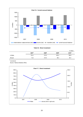

**Table 43. Direct investment**

|          |                   |                   |                   | $\epsilon$ million |
|----------|-------------------|-------------------|-------------------|--------------------|
|          | 2007 <sup>P</sup> | 2008 <sup>p</sup> | 2009 <sup>p</sup> | 2010 <sup>p</sup>  |
| In Malta | 734.4             | 573.0             | 633.4             | 788.5              |
| Abroad   | 10.2              | 210.0             | 96.4              | 66.1               |

p provisional

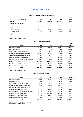## **INTERNATIONAL TRADE**

Important note: Data presented in this section are in line with News Release No. 215/2011 dated 9 November 2011.

#### **Table 44. International trade: an overview**

|                             |              |              |              | € 000        |
|-----------------------------|--------------|--------------|--------------|--------------|
| <b>Imports/Exports</b>      | 2007         | 2008         | 2009         | 2010         |
| Imports                     | 3.603.847    | 3,896,819    | 3,452,597    | 4.244.344    |
| by broad economic category: |              |              |              |              |
| Industrial supplies         | 1.610.650    | 1.569.653    | 1.213.929    | 1.499.113    |
| Capital goods               | 635.779      | 610.170      | 691.593      | 837.712      |
| Consumer goods              | 913.737      | 972.636      | 889.940      | 932.254      |
| Fuels/lubricants            | 443.680      | 744.359      | 657.135      | 975.264      |
| <b>Exports</b>              | 2.584.350    | 2.413.561    | 2.040.731    | 2.744.322    |
| Visible trade gap           | $-1,019,497$ | $-1,483,258$ | $-1,411,866$ | $-1,500,022$ |

Source: National Statistics Office.

#### **Table 45. Imports by sector**

|                                                   |           |           |           | € 000     |
|---------------------------------------------------|-----------|-----------|-----------|-----------|
| Sector                                            | 2007      | 2008      | 2009      | 2010      |
| Food and live animals                             | 412,553   | 435.750   | 386.813   | 393.340   |
| Beverages and tobacco                             | 50.544    | 62,050    | 59.504    | 62,635    |
| Crude materials, inedible, except fuels           | 26,814    | 25.944    | 31,289    | 31,350    |
| Mineral fuels, lubricants and related materials   | 447,063   | 757,628   | 657,758   | 977,378   |
| Animal and vegetable oils, fats and waxes         | 8.515     | 9.047     | 6.902     | 6.926     |
| Chemicals and related products, n.e.s.            | 336.632   | 347.677   | 315,810   | 376,086   |
| Manufactured goods classified chiefly by material | 349.658   | 355.479   | 288.316   | 325,610   |
| Machinery and transport equipment                 | 1,520,270 | 1.452.710 | 1,325,129 | 1,639,142 |
| Miscellaneous manufactured articles               | 420,755   | 424.874   | 358,761   | 392,684   |
| Commodities and transactions n.e.c.               | 31.045    | 25.659    | 22.314    | 39.192    |
| <b>TOTAL</b>                                      | 3,603,847 | 3,896,819 | 3,452,597 | 4.244.344 |

Source: National Statistics Office.

## **Table 46. Exports by sector**

|                                                   |           |           |           | € 000     |
|---------------------------------------------------|-----------|-----------|-----------|-----------|
| <b>Sector</b>                                     | 2007      | 2008      | 2009      | 2010      |
| Food and live animals                             | 158.445   | 161,277   | 69,576    | 135.694   |
| Beverages and tobacco                             | 16,099    | 15,843    | 17,666    | 22,502    |
| Crude materials, inedible, except fuels           | 14,244    | 12,517    | 9,602     | 13,718    |
| Mineral fuels, lubricants and related materials   | 348,509   | 369.824   | 401.643   | 657,158   |
| Animal and vegetable oils, fats and waxes         | 7         | 524       | 39        | 5         |
| Chemicals and related products, n.e.s.            | 201,221   | 224,324   | 205,098   | 273,648   |
| Manufactured goods classified chiefly by material | 115,333   | 112,884   | 89,016    | 123,550   |
| Machinery and transport equipment                 | 1,373,364 | 1,173,546 | 939,026   | 1,177,204 |
| Miscellaneous manufactured articles               | 355,328   | 335,702   | 307,169   | 331,302   |
| Commodities and transactions n.e.c.               | 1,801     | 7,120     | 1,895     | 9,541     |
| TOTAL                                             | 2.584.350 | 2.413.561 | 2,040,731 | 2.744.322 |

Note: Totals may not add up due to rounding.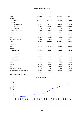|                                        |           |           |           | € 000     |
|----------------------------------------|-----------|-----------|-----------|-----------|
|                                        | 2007      | 2008      | 2009      | 2010      |
| Imports                                |           |           |           |           |
| Europe                                 | 2,726,824 | 3,023,884 | 2,680,106 | 3,162,620 |
| of which:                              |           |           |           |           |
| European Union                         | 2,591,518 | 2,755,395 | 2,403,172 | 2,674,651 |
| of which:                              |           |           |           |           |
| United Kingdom                         | 499,515   | 457,329   | 377,719   | 356,797   |
| Euro Area                              | 1,988,559 | 2,160,838 | 1,915,910 | 2,156,067 |
| <b>EFTA Countries</b>                  | 72,780    | 75,555    | 110,245   | 110,149   |
| <b>Other European Countries</b>        | 62,526    | 192,935   | 166,689   | 377,821   |
| Africa                                 | 29,322    | 128,487   | 72,366    | 151,484   |
| America                                | 241,408   | 132,884   | 229,476   | 276,936   |
| Asia                                   | 597,246   | 597,773   | 457,693   | 571,218   |
| Australia and Oceania                  | 8,864     | 12,990    | 10,689    | 80,150    |
| Total                                  | 3,603,847 | 3,896,819 | 3,452,597 | 4,244,344 |
| <b>Exports</b>                         |           |           |           |           |
| Europe                                 | 1,135,321 | 993,621   | 855,304   | 1,162,603 |
| of which:                              |           |           |           |           |
| European Union                         | 1,108,783 | 953,864   | 819,243   | 1,112,520 |
| of which:                              |           |           |           |           |
| United Kingdom                         | 222,054   | 165,320   | 99,067    | 128,139   |
| Euro Area                              | 800,487   | 722,070   | 656,391   | 873,526   |
| <b>EFTA Countries</b>                  | 13,641    | 17,628    | 16,402    | 26,515    |
| Other European Countries               | 12,897    | 22,128    | 19,659    | 23,568    |
| Africa                                 | 121,300   | 132,423   | 137,165   | 154,273   |
| America                                | 279,721   | 209,527   | 185,297   | 228,778   |
| Asia                                   | 719,861   | 713,926   | 528,100   | 686,467   |
| Australia and Oceania                  | 6,751     | 4,848     | 4,513     | 11,149    |
| Ships and aircraft stores, and bunkers | 321,395   | 359,216   | 330,352   | 501,052   |
| Total                                  | 2,584,350 | 2,413,561 | 2,040,731 | 2,744,322 |

#### **Table 47. Direction of trade**

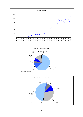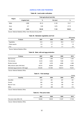## **AGRICULTURE AND FISHERIES**

#### **Table 48. Land under cultivation**

| Region | Total agricultural land (Ha) |        |          |        |  |  |
|--------|------------------------------|--------|----------|--------|--|--|
|        | <b>Irrigated land</b>        | %      | Dry land | %      |  |  |
| Malta  | 2,886                        | 90.10  | 5.148    | 72.27  |  |  |
| Gozo   | 317                          | 9.90   | 1.975    | 27.73  |  |  |
| Total  | 3,203                        | 100.00 | 7,123    | 100.00 |  |  |

Source: National Statistics Office, Farm Structure Survey 2007.

| Table 49. Marketed vegetables and fruit |  |
|-----------------------------------------|--|
|-----------------------------------------|--|

|                |      |      |      | '000 tonnes |
|----------------|------|------|------|-------------|
| Produce        | 2007 | 2008 | 2009 | 2010        |
| Vegetables     | 44.6 | 44.2 | 39.8 | 41.2        |
| Potato exports | 2.6  | 2.7  | 2.0  | 1.8         |
| Fruit          | 2.2  | 3.1  | 3.1  | 2.6         |

Source: National Statistics Office.

## **Table 50. Meat, milk and egg production**

| 2010<br>2009      |
|-------------------|
|                   |
| 1,422<br>1.543    |
| 7,511<br>7.369    |
| 4.686<br>4,398    |
| 40,895            |
| 79.644<br>108.813 |
| 38.301            |

Source: National Statistics Office.

## **Table 51. Fish landings**

|               |      |      |      | tonnes |
|---------------|------|------|------|--------|
| Quantity      | 2007 | 2008 | 2009 | 2010   |
| Swordfish     | 213  | 261  | 237  | 331    |
| Dorado        | 264  | 245  | 332  | 430    |
| Blue-fin Tuna | 124  | 142  | 185  | 131    |
| Other         | 247  | 269  | 479  | 412    |

Source: National Statistics Office.

## **Table 52. Fish price index**

|                           | 2007   | 2008   | 2009   | 2010   |
|---------------------------|--------|--------|--------|--------|
| Fish price index 2005=100 | 129.26 | 133.05 | 113.97 | 117.56 |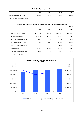|  |  |  | Table 53. Fish volume index |  |
|--|--|--|-----------------------------|--|
|--|--|--|-----------------------------|--|

|                            | 2007  | 2008  | 2009  | 2010  |
|----------------------------|-------|-------|-------|-------|
| Fish volume index 2005=100 | 63.48 | 68.60 | 92.33 | 97.49 |

Source: National Statistics Office.

 $\overline{a}$ 

|  |  |  |  |  |  | Table 54.  Agriculture and fishing: contribution to total Gross Value Added |
|--|--|--|--|--|--|-----------------------------------------------------------------------------|
|--|--|--|--|--|--|-----------------------------------------------------------------------------|

|                               |           |           |           | € 000     |
|-------------------------------|-----------|-----------|-----------|-----------|
|                               | 2007      | 2008      | 2009      | 2010      |
| Total Value Added, gross      | 4,717,798 | 5,097,230 | 5,053,180 | 5,361,671 |
| Agriculture and fishing       | 101.068   | 80.323    | 89,478    | 87,211    |
| % of Total Value Added, gross | 2.14      | 1.58      | 1.77      | 1.63      |
| Compensation of employees     | 22,382    | 21,721    | 27.866    | 29,463    |
| % of Total Value Added, gross | 0.47      | 0.43      | 0.55      | 0.55      |
| Operating surplus             | 72.164    | 52,770    | 55,177    | 51,315    |
| % of Total Value Added, gross | 1.53      | 1.04      | 1.09      | 0.96      |

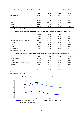#### **Table 55. Agricultural price indices based on economic accounts for agriculture (2000=100)**

|                                       | 2007   | 2008   | 2009   | 2010 <sup>p</sup> |
|---------------------------------------|--------|--------|--------|-------------------|
| Agricultural output                   | 110.29 | 115.69 | 117.31 | 116.02            |
| Forage                                | 85.45  | 77.76  | 76.59  | 74.91             |
| Vegetables and horticultural products | 115.61 | 121.16 | 137.64 | 138.05            |
| Potatoes                              | 134.86 | 116.11 | 141.89 | 83.86             |
| Fruit                                 | 103.06 | 106.97 | 98.63  | 108.69            |
| Animals                               | 109.51 | 111.48 | 116.83 | 117.65            |
| Animal products                       | 110.73 | 132.21 | 130.09 | 126.84            |

Source: National Statistics Office.

#### **Table 56. Agricultural volume indices based on economic accounts for agriculture (2000=100)**

|                                       | 2007   | 2008   | 2009   | 2010 <sup>p</sup> |
|---------------------------------------|--------|--------|--------|-------------------|
| Agricultural output                   | 93.62  | 98.77  | 91.76  | 89.93             |
| Forage                                | 96.66  | 116.58 | 113.78 | 128.00            |
| Vegetables and horticultural products | 108.77 | 113.44 | 103.23 | 101.79            |
| Potatoes                              | 47.40  | 47.26  | 33.74  | 28.11             |
| Fruit                                 | 109.92 | 157.41 | 160.40 | 143.88            |
| Animals                               | 90.37  | 93.81  | 89.77  | 89.05             |
| Animal products                       | 95.75  | 96.80  | 91.96  | 89.75             |

Source: National Statistics Office.

#### **Table 57. Agricultural value indices based on economic accounts for agriculture (2000=100)**

|                                       | 2007   | 2008   | 2009   | 2010 <sup>p</sup> |
|---------------------------------------|--------|--------|--------|-------------------|
| Agricultural output                   | 103.30 | 114.36 | 107.73 | 104.39            |
| Forage                                | 82.58  | 90.68  | 87.14  | 95.85             |
| Vegetables and horticultural products | 125.80 | 137.50 | 142.04 | 140.48            |
| Potatoes                              | 63.87  | 54.87  | 47.84  | 23.54             |
| Fruit                                 | 113.38 | 168.60 | 158.48 | 156.74            |
| Animals                               | 99.01  | 104.55 | 104.87 | 104.76            |
| Animal products                       | 106.10 | 127.96 | 119.52 | 113.66            |
|                                       |        |        |        |                   |

<sup>p</sup> provisional

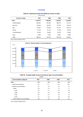## **TOURISM**

# **Table 58. Departing tourists from Malta by country of origin**

| Country of origin | 2007      | 2008      | 2009      | 2010      |
|-------------------|-----------|-----------|-----------|-----------|
| Total             | 1,243,510 | 1.290.856 | 1,182,490 | 1.334.229 |
| United Kingdom    | 482.405   | 454.356   | 398.472   | 415,191   |
| Germany           | 130.049   | 150.793   | 127.373   | 126.132   |
| Italy             | 113.651   | 144.456   | 161,737   | 216.191   |
| France            | 75.149    | 81,152    | 71.930    | 86.475    |
| The Netherlands   | 34.783    | 36,920    | 33.419    | 33.425    |
| Libya             | 9.259     | 9.403     | 14.281    | 15.864    |
| Other             | 398.214   | 413.776   | 375.278   | 440.951   |

(air and sea)

Source: National Statistics Office.



**Table 59. Average length of stay of tourists by type of accommodation**

| <b>Accommodation categories</b> | 2007 | 2008 | 2009 | 2010 |
|---------------------------------|------|------|------|------|
| Total                           | 8.9  | 8.5  | 8.4  | 8.3  |
| Private accommodation           | 11.6 | 11.1 | 11.5 | 12.0 |
| Collective accommodation        | 8.1  | 7.8  | 7.5  | 7.3  |
| Hotels                          | 8.0  | 7.6  | 7.3  | 7.1  |
| 5-star                          | 6.4  | 6.1  | 6.0  | 5.8  |
| 4-star                          | 8.4  | 8.3  | 8.0  | 7.9  |
| 3-star                          | 9.0  | 8.1  | 7.8  | 7.5  |
| 2-star                          | 8.1  | 7.5  | 7.8  | 5.9  |
| Other collective accommodation  | 9.6  | 9.3  | 9.4  | 9.2  |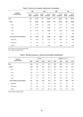|                                    | 2007<br>2008     |                      |                  | 2009                 |                  |                      | 2010             |                      |
|------------------------------------|------------------|----------------------|------------------|----------------------|------------------|----------------------|------------------|----------------------|
| <b>Collective</b><br>accommodation | No. of<br>hotels | No. of<br>bed-places | No. of<br>hotels | No. of<br>bed-places | No. of<br>hotels | No. of<br>bed-places | No. of<br>hotels | No. of<br>bed-places |
| Total                              | 165              | 41,152               | 161              | 39,265               | 161              | 39,801               | 159              | 40,135               |
| <b>Hotels</b>                      | 107              | 34,387               | 102              | 32,345               | 104              | 33,159               | 102              | 33,681               |
| 5-star                             | 14               | 6,486                | 15               | 7,500                | 16               | 7,611                | 15               | 7,423                |
| 4-star                             | 41               | 15,753               | 41               | 15,245               | 41               | 15,103               | 43               | 16,251               |
| 3-star                             | 42               | 11,432               | 38               | 8,898                | 40               | 9,844                | 38               | 9,468                |
| 2-star                             | 10               | 716                  | 8                | 702                  | $\overline{7}$   | 601                  | 6                | 539                  |
| Other collective accommodation     | 58               | 6,765                | 59               | 6,920                | 57               | 6,642                | 57               | 6,454                |
| Aparthotels                        | 28               | 5,242                | 29               | 5,254                | 28               | 4,961                | 26               | 4,680                |
| Guesthouse                         | 24               | 679                  | 23               | 641                  | 22               | 633                  | 24               | 718                  |
| Hostel                             | 6                | 844                  | 7                | 1,025                | 7                | 1,048                | 7                | 1,056                |

## **Table 60. Collective accommodation establishments and bed-places**

Note: Figures as at end August (peak month).

Source: National Statistics Office.

| <b>Collective</b>              |      | Annual |      |      | August (peak month) |      |      |      |
|--------------------------------|------|--------|------|------|---------------------|------|------|------|
| accommodation                  | 2007 | 2008   | 2009 | 2010 | 2007                | 2008 | 2009 | 2010 |
| Total                          | 60.2 | 57.9   | 51.1 | 54.4 | 89.3                | 86.2 | 77.5 | 85.1 |
| Hotels                         | 62.6 | 59.4   | 52.4 | 56.7 | 92.0                | 89.0 | 79.3 | 87.9 |
| 5-star                         | 62.0 | 56.4   | 55.5 | 59.5 | 97.2                | 87.7 | 93.7 | 92.8 |
| 4-star                         | 69.0 | 67.7   | 61.4 | 66.3 | 94.0                | 93.2 | 89.2 | 93.7 |
| 3-star                         | 54.5 | 49.2   | 35.8 | 40.4 | 88.3                | 85.1 | 54.2 | 74.1 |
| 2-star                         | 38.1 | 41.0   | 35.8 | 35.3 | 59.1                | 60.8 | 61.6 | 87.0 |
| Other collective accommodation | 49.1 | 50.2   | 44.6 | 42.4 | 75.7                | 73.3 | 68.2 | 70.5 |
| Aparthotels                    | 49.5 | 52.7   | 46.7 | 46.0 | 79.6                | 78.8 | 71.8 | 75.6 |
| Guesthouse                     | 35.5 | 33.3   | 31.2 | 29.1 | 57.0                | 46.3 | 46.9 | 49.4 |
| Hostel                         | 56.4 | 48.0   | 43.1 | 36.1 | 66.6                | 61.8 | 64.0 | 62.5 |

#### **Table 61. Bed-place occupancy in collective accommodation establishments**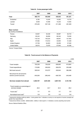|                                           | 2007    | 2008    | 2009    | 2010    |
|-------------------------------------------|---------|---------|---------|---------|
| Total                                     | 488,170 | 555,840 | 439,630 | 491,201 |
| Embarked                                  | 8,780   | 14,245  | 14,092  | 14,779  |
| Landed                                    | 8,939   | 14,466  | 14,230  | 14,583  |
| Transit                                   | 470,452 | 527,129 | 411,308 | 461,839 |
| Major markets:<br>by country of residence |         |         |         |         |
| France                                    | 33,607  | 30,438  | 39,587  | 62,733  |
| Germany                                   | 85,343  | 56,859  | 68,344  | 76,258  |
| Italy                                     | 116,732 | 105,224 | 89,857  | 121,942 |
| Spain                                     | 97,582  | 110,512 | 33,945  | 31,428  |
| United Kingdom                            | 37,709  | 64,803  | 35,058  | 37,300  |
| <b>United States</b>                      | 38,915  | 73,676  | 67,840  | 44,388  |

## **Table 62. Cruise passenger traffic**

Source: Transport Malta.

## **Table 63. Travel account in the Balance of Payments**

|                                                          |            |            |           | € 000      |
|----------------------------------------------------------|------------|------------|-----------|------------|
|                                                          | 2007       | 2008       | 2009      | 2010       |
| <b>Travel receipts</b>                                   | 702,239    | 729,230    | 639,820   | 813,854    |
| Travel expenditures                                      | 172,695    | 209,503    | 206,976   | 233,488    |
| Net travel account                                       | 529,544    | 519,727    | 432,844   | 580,366    |
| Net amount for all economic<br>sectors (current account) | $-343,200$ | $-295,043$ | -426,728  | $-243,480$ |
| Services receipts from abroad                            | 2,484,707  | 2,951,945  | 2,857,732 | 3,101,706  |
| Travel receipts as a percentage of<br>services receipts  | 28.3       | 24.7       | 22.4      | 26.2       |
| Travel ratio <sup>1</sup>                                | 4.1        | 3.5        | 3.1       | 3.5        |
| Normalised travel ratio <sup>2</sup>                     | 0.6        | 0.6        | 0.5       | 0.6        |

<sup>1</sup> measured by dividing credits by debits. A ratio greater than 1 indicates a country is a net exporter of tourism (receipts are greater than expenditures)

 $2$  measured as follows: (credits - debits/credits + debits). A ratio equal to +1 indicates a country exporting only tourism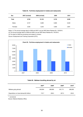| Sex     | 2007 (revised) | 2008 (revised) | 2009  | 2010  |
|---------|----------------|----------------|-------|-------|
| Total   | 9,762          | 10,132         | 9,745 | 9,490 |
| Males   | 6,727          | 6,899          | 6,685 | 6,529 |
| Females | 3,035          | 3,233          | 3,060 | 2,961 |

#### **Table 64. Full-time employment in hotels and restaurants**

Notes: (1) The annual average data for 2006 and 2007 is as per NSO News Release No. 153/2010.

(2) The annual average data for 2008 and 2009 is as per NSO News Release No. 167/2010.

(3) The data for 2009 are provisional and subject to revision.

Source: Employment and Training Corporation (ETC).



## **Table 65. Maltese travelling abroad by air**

|                                                    | 2007 <sup>P</sup> | 2008 <sup>p</sup> | 2009 <sup>p</sup> | $2010^p$ |
|----------------------------------------------------|-------------------|-------------------|-------------------|----------|
| Maltese going abroad                               | 246.994           | 298.995           | 301.711           | 298,095  |
| Expenditure on travel abroad ( $\epsilon$ million) | 172.7             | 209.5             | 207.0             | 233.5    |

<sup>p</sup> provisional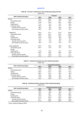## **INDUSTRY**

## **Table 66. Turnover in industry by main industrial grouping and flow**

(2005=100)

|                            |       | Turnover |       |       |
|----------------------------|-------|----------|-------|-------|
| Main industrial grouping   | 2007  | 2008     | 2009  | 2010  |
| <b>TOTAL</b>               | 110.3 | 109.4    | 96.8  | 114.6 |
| Intermediate goods         | 113.0 | 102.3    | 83.7  | 99.2  |
| Energy                     | 119.9 | 154.9    | 159.4 | 204.6 |
| Capital goods              | 111.3 | 91.9     | 64.7  | 80.8  |
| Consumer goods             | 99.3  | 96.5     | 87.4  | 91.3  |
| Durable consumer goods     | 86.2  | 79.0     | 52.6  | 50.5  |
| Non-durable consumer goods | 100.6 | 98.3     | 90.9  | 95.4  |
| <b>DOMESTIC</b>            | 104.6 | 121.4    | 119.5 | 138.2 |
| Intermediate goods         | 108.8 | 126.1    | 107.6 | 105.6 |
| Energy                     | 119.9 | 154.9    | 159.4 | 204.6 |
| Capital goods              | 110.2 | 103.6    | 95.9  | 98.7  |
| Consumer goods             | 81.8  | 77.2     | 76.6  | 73.7  |
| Durable consumer goods     | 90.2  | 74.8     | 67.3  | 64.8  |
| Non-durable consumer goods | 80.5  | 77.6     | 78.0  | 75.1  |
| NON-DOMESTIC               | 120.5 | 102.5    | 82.8  | 100.1 |
| Intermediate goods         | 120.3 | 97.2     | 78.7  | 97.8  |
| Energy                     |       |          |       |       |
| Capital goods              | 113.6 | 92.5     | 61.7  | 79.8  |
| Consumer goods             | 125.2 | 122.6    | 106.0 | 118.4 |
| Durable consumer goods     | 73.1  | 90.0     | 17.7  | 17.7  |
| Non-durable consumer goods | 127.8 | 124.2    | 110.3 | 123.3 |

## **Table 67. Industrial production by main industrial grouping**

(2005=100)

| Main industrial grouping   | Industrial production |       |      |       |  |
|----------------------------|-----------------------|-------|------|-------|--|
|                            | 2007                  | 2008  | 2009 | 2010  |  |
| <b>TOTAL</b>               | 118.2                 | 109.3 | 93.2 | 99.4  |  |
| Intermediate goods         | 114.9                 | 114.6 | 95.3 | 113.7 |  |
| Energy                     | 102.2                 | 101.4 | 96.5 | 94.2  |  |
| Capital goods              | 135.3                 | 116.5 | 88.5 | 94.9  |  |
| Consumer goods             | 118.5                 | 103.8 | 92.1 | 89.1  |  |
| Durable consumer goods     | 87.8                  | 88.8  | 90.9 | 65.5  |  |
| Non-durable consumer goods | 122.6                 | 105.8 | 92.3 | 92.3  |  |

#### **Table 68. Industrial producer prices by main industrial grouping** (2005=100)

|                            | Industrial producer prices |       |       |       |  |
|----------------------------|----------------------------|-------|-------|-------|--|
| Main industrial grouping   | 2007                       | 2008  | 2009  | 2010  |  |
| <b>TOTAL</b>               | 100.6                      | 99.2  | 98.1  | 99.4  |  |
| Intermediate goods         | 96.4                       | 89.4  | 82.9  | 78.1  |  |
| Energy                     | 120.5                      | 145.1 | 167.2 | 196.6 |  |
| Capital goods              | 97.9                       | 95.3  | 94.8  | 95.2  |  |
| Consumer goods             | 101.6                      | 102.2 | 103.5 | 106.8 |  |
| Durable consumer goods     | 101.7                      | 102.2 | 102.6 | 98.3  |  |
| Non-durable consumer goods | 101.5                      | 102.2 | 103.6 | 107.8 |  |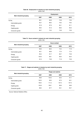# **Table 69. Employment in industry by main industrial grouping**

|                          |      | Employment |      |      |
|--------------------------|------|------------|------|------|
| Main industrial grouping | 2007 | 2008       | 2009 | 2010 |
| TOTAL                    | 89.1 | 83.8       | 75.8 | 73.6 |
| Intermediate goods       | 92.7 | 88.5       | 79.2 | 76.5 |
| Energy                   | 91.9 | 87.9       | 84.1 | 81.1 |
| Capital goods            | 99.4 | 91.3       | 68.3 | 65.3 |
| Consumer goods           | 80.7 | 75.2       | 73.8 | 72.6 |

#### **Table 70. Hours worked in industry by main industrial grouping**  $(2005=100)$

| Main industrial grouping | <b>Hours worked</b> |      |      |      |  |
|--------------------------|---------------------|------|------|------|--|
|                          | 2007                | 2008 | 2009 | 2010 |  |
| <b>TOTAL</b>             | 96.6                | 86.5 | 73.4 | 71.9 |  |
| Intermediate goods       | 95.1                | 89.8 | 77.0 | 77.4 |  |
| Energy                   | 95.2                | 91.7 | 80.7 | 75.8 |  |
| Capital goods            | 125.6               | 99.1 | 66.0 | 62.5 |  |
| Consumer goods           | 81.0                | 73.8 | 71.9 | 70.8 |  |

#### **Table 71. Wages and salaries in industry by main industrial grouping** (2005=100)

| <b>Wages and salaries</b> |       |       |       |
|---------------------------|-------|-------|-------|
| 2007                      | 2008  | 2009  | 2010  |
| 98.9                      | 104.5 | 92.5  | 91.1  |
| 102.5                     | 99.3  | 87.0  | 92.1  |
| 106.4                     | 111.2 | 107.3 | 107.3 |
| 104.9                     | 136.1 | 89.9  | 69.6  |
| 88.2                      | 87.7  | 93.1  | 95.7  |
|                           |       |       |       |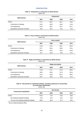## **CONSTRUCTION**

|  | Table 72. Employment in construction by NACE division |
|--|-------------------------------------------------------|
|--|-------------------------------------------------------|

(2005=100)

| <b>NACE division</b>                | Employment |       |       |       |  |
|-------------------------------------|------------|-------|-------|-------|--|
|                                     | 2007       | 2008  | 2009  | 2010  |  |
| <b>TOTAL</b>                        | 111.4      | 109.7 | 102.1 | 94.2  |  |
| Construction of buildings           | 134.5      | 136.5 | 126.9 | 115.8 |  |
| Civil engineering                   | 107.8      | 125.7 | 153.7 | 147.1 |  |
| Specialised construction activities | 95.4       | 89.1  | 79.5  | 73.8  |  |

## **Table 73. Hours worked in construction by NACE division**

| $(2005=100)$                        |                     |       |       |       |  |
|-------------------------------------|---------------------|-------|-------|-------|--|
| <b>NACE division</b>                | <b>Hours worked</b> |       |       |       |  |
|                                     | 2007                | 2008  | 2009  | 2010  |  |
| <b>TOTAL</b>                        | 116.9               | 115.2 | 109.1 | 100.5 |  |
| Construction of buildings           | 137.1               | 132.4 | 129.0 | 116.0 |  |
| Civil engineering                   | 108.5               | 142.2 | 157.8 | 154.8 |  |
| Specialised construction activities | 97.1                | 92.0  | 79.0  | 74.0  |  |

#### **Table 74. Wages and salaries in construction by NACE division** (2005=100)

| <b>NACE division</b>                | <b>Wages and salaries</b> |       |       |       |
|-------------------------------------|---------------------------|-------|-------|-------|
|                                     | 2007                      | 2008  | 2009  | 2010  |
| TOTAL                               | 113.8                     | 114.1 | 113.0 | 108.5 |
| Construction of buildings           | 128.3                     | 136.2 | 127.3 | 120.9 |
| Civil engineering                   | 113.2                     | 149.9 | 207.3 | 198.3 |
| Specialised construction activities | 100.7                     | 88.0  | 83.5  | 81.6  |

# **Table 75. New permits for residential buildings, excluding residences for communities**

**by construction classification**

(2005=100)

| <b>Construction classification</b>          | <b>New Permits</b> |      |      |      |
|---------------------------------------------|--------------------|------|------|------|
|                                             | 2007               | 2008 | 2009 | 2010 |
| <b>TOTAL</b>                                | 124.9              | 75.3 | 58.3 | 48.9 |
| One dwelling residential buildings          | 70.8               | 42.3 | 44.2 | 45.9 |
| Two and more dwelling residential buildings | 136.0              | 82.0 | 61.2 | 49.6 |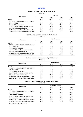## **SERVICES**

## **Table 76. Turnover in services by NACE section**

(2005=100)

|                                                   | Turnover |       |       |       |
|---------------------------------------------------|----------|-------|-------|-------|
| <b>NACE</b> section                               | 2007     | 2008  | 2009  | 2010  |
| <b>TOTAL</b>                                      | 112.6    | 113.4 | 106.1 | 108.4 |
| Wholesale and retail; repair of motor vehicles    |          |       |       |       |
| and motorcycles                                   | 112.4    | 113.1 | 104.0 | 105.8 |
| Transportation and storage                        | 115.1    | 125.3 | 115.7 | 121.1 |
| Accommodation and food services activities        | 108.7    | 111.0 | 95.7  | 96.4  |
| Information and communication                     | 114.2    | 113.2 | 117.3 | 114.2 |
| Professional, scientific and technical activities | 127.1    | 120.4 | 122.9 | 130.1 |
| Administrative and support services activities    | 94.0     | 83.0  | 87.7  | 95.0  |

| Table 77. Employment in services by NACE section |  |
|--------------------------------------------------|--|
|                                                  |  |

(2005=100)

| <b>NACE</b> section                               | Employment |       |       |       |  |
|---------------------------------------------------|------------|-------|-------|-------|--|
|                                                   | 2007       | 2008  | 2009  | 2010  |  |
| TOTAL                                             | 98.0       | 97.2  | 97.6  | 96.9  |  |
| Wholesale and retail; repair of motor vehicles    |            |       |       |       |  |
| and motorcycles                                   | 100.4      | 97.6  | 99.5  | 100.0 |  |
| Transportation and storage                        | 88.4       | 85.3  | 86.3  | 86.0  |  |
| Accommodation and food services activities        | 94.0       | 95.7  | 93.2  | 90.4  |  |
| Information and communication                     | 108.7      | 109.2 | 107.9 | 102.8 |  |
| Professional, scientific and technical activities | 99.3       | 94.5  | 99.9  | 106.3 |  |
| Administrative and support services activities    | 99.6       | 106.0 | 103.8 | 99.2  |  |

**Table 78. Hours worked in services by NACE section**

(2005=100)

| <b>NACE</b> section                               | <b>Hours worked</b> |       |       |       |
|---------------------------------------------------|---------------------|-------|-------|-------|
|                                                   | 2007                | 2008  | 2009  | 2010  |
| TOTAL                                             | 95.7                | 96.9  | 98.0  | 98.6  |
| Wholesale and retail; repair of motor vehicles    |                     |       |       |       |
| and motorcycles                                   | 92.9                | 95.9  | 98.4  | 101.3 |
| Transportation and storage                        | 89.3                | 85.9  | 85.0  | 86.6  |
| Accommodation and food services activities        | 95.2                | 97.1  | 94.5  | 94.2  |
| Information and communication                     | 109.4               | 117.2 | 125.9 | 120.4 |
| Professional, scientific and technical activities | 99.1                | 97.5  | 92.3  | 96.1  |
| Administrative and support services activities    | 103.5               | 98.1  | 103.9 | 97.6  |

 $\frac{2}{3}$ **Table 79. Wages and salaries in services by NACE section**

| 2005=100) |  |
|-----------|--|
|-----------|--|

| <b>NACE</b> section                               | <b>Wages and salaries</b> |       |       |       |
|---------------------------------------------------|---------------------------|-------|-------|-------|
|                                                   | 2007                      | 2008  | 2009  | 2010  |
| TOTAL                                             | 104.4                     | 112.8 | 118.3 | 121.0 |
| Wholesale and retail; repair of motor vehicles    |                           |       |       |       |
| and motorcycles                                   | 111.2                     | 114.4 | 123.4 | 127.9 |
| Transportation and storage                        | 98.3                      | 104.7 | 108.7 | 110.7 |
| Accommodation and food services activities        | 99.1                      | 106.1 | 106.9 | 104.2 |
| Information and communication                     | 93.8                      | 118.9 | 123.3 | 123.9 |
| Professional, scientific and technical activities | 112.4                     | 120.8 | 128.3 | 138.2 |
| Administrative and support services activities    | 111.4                     | 123.6 | 129.3 | 133.3 |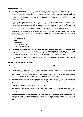#### **Methodological Notes**

- 1. The short-term indicators comprise a number of business cycle indicators showing the evolution of the market of goods and services in the economy. The indicators record the evolution of turnover, production, producer prices, employment, wages and salaries, and hours worked over long periods of time. The objective of these indicators is to measure the market activity in the industrial, construction and services sectors. These indicators are compiled as a "fixed-base-year Laspeyres type indices". The current base year is 2005. The data are not seasonally and working-day adjusted.
- 2. Industrial activities are in line with section B, C, D and E of the statistical classificatin of economic activities. NACE divisions 09, 19, 24 and and NACE group 30.90 have been excluded because of their negligible activity. Construction activities covered are in line with Section F. Services activities are covered by Sections G to N with the exception of sections J and L. In line with the Short-term Statistics Regulation, the term 'Services' excludes, inter alia, Financial and Insurance Activities, Real Estate Activities and Gambling and Betting Activities.
- 3. Whereas industrial indicators are broken down by MIG (main industrial grouping) classification, Construction and Services activities are broken down by NACE division (2-digit) and section levels respectively. The MIGs are broken down as follows:
	- Intermediate goods;
	- Energy;
	- Capital goods;
	- Durable consumer goods;
	- Non-durable consumer goods.
- 4. The data for industry are collected by means of a representative sample of approximately 400 enterprises every month. The data are then grossed up to represent the entire industrial population. The data on services and construction are collected every quarter be means of another sample consisting of approximately 1,000 enterprises. The data on new permits are obtained from the Malta Environment and Planning Authority (MEPA).
- 5. Figures for the last 2 years, including the reference year, are to be considered as provisional and are subject to revision.

#### **Summary definitions of key variables**

- 1. Turnover: Includes total sales and other income and is expressed net of VAT. Turnover is presented in current prices.
- 2. Employment: Covers all persons employed, regardless of whether they are part-time or full-time, and includes paid employees as well as working proprietors and unpaid family workers.
- 3. Hours worked: Covers total amount of hours actually worked; regular working hours and also during overtime; during nights, Sundays or Public holidays. Hours worked but not paid are also considered.
- 4. Wages and Salaries: Covers wages and salaries including bonuses, weekly allowances (cost of living allowances), overtime and national social security contributions by the employee. It does not include employer's social security contributions.
- 5. Producer prices cover the ex-factory price for a product excluding VAT.
- 6. New permits for dwellings cover rooms or suites or rooms and its accessories in a permanent building or structurally separated part thereof that, by the way it has been built, rebuilt, converted and so on, is intended for private habitation.
- 7. Production covers the major products produced by leading enterprises. Furthermore, industrial production is also estimated for certain enterprises by having their turnover deflated by the industrial producer price index. Other estimates of production include the usage of hours worked where production methods span over long periods of time.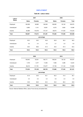## **EMPLOYMENT**

## **Table 80. Labour status**

| Labour        |              | 2007           |            | 2008         |                |         |  |  |
|---------------|--------------|----------------|------------|--------------|----------------|---------|--|--|
| <b>Status</b> | <b>Males</b> | <b>Females</b> | Total      | <b>Males</b> | <b>Females</b> | Total   |  |  |
| Employed      | 106,308      | 49,995         | 156,303    | 106,935      | 53,140         | 160,075 |  |  |
| Unemployed    | 6,690        | 4,141          | 10,831     | 6,373        | 3,925          | 10,298  |  |  |
| Inactive      | 55,669       | 118,478        | 174,147    | 56,974       | 117,242        | 174,216 |  |  |
| Total         | 168,667      | 172,614        | 341,281    | 170,282      | 174,306        | 344,589 |  |  |
|               |              |                | percentage |              |                |         |  |  |
| Employed      | 63.0         | 29.0           | 45.8       | 62.8         | 30.5           | 46.5    |  |  |
| Unemployed    | 4.0          | 2.4            | 3.2        | 3.7          | 2.2            | 3.0     |  |  |
| Inactive      | 33.0         | 68.6           | 51.0       | 33.5         | 67.3           | 50.5    |  |  |
| Total         | 100.0        | 100.0          | 100.0      | 100.0        | 100.0          | 100.0   |  |  |
|               |              |                |            |              |                |         |  |  |
|               |              | 2009           |            |              | 2010           |         |  |  |
| Employed      | 106,840      | 53,931         | 160,771    | 108,224      | 56,123         | 164,347 |  |  |
| Unemployed    | 7,478        | 4,477          | 11,955     | 7,906        | 4,298          | 12,204  |  |  |
| Inactive      | 58,216       | 117,761        | 175,977    | 57,756       | 117,124        | 174,880 |  |  |
| <b>Total</b>  | 172,534      | 176,169        | 348,703    | 173,886      | 177,545        | 351,431 |  |  |
|               |              |                | percentage |              |                |         |  |  |
| Employed      | 61.9         | 30.6           | 46.1       | 62.2         | 31.6           | 46.7    |  |  |
| Unemployed    | 4.3          | 2.5            | 3.4        | 4.6          | 2.4            | 3.5     |  |  |
| Inactive      | 33.8         | 66.9           | 50.5       | 33.2         | 66.0           | 49.8    |  |  |
| Total         | 100.0        | 100.0          | 100.0      | 100.0        | 100.0          | 100.0   |  |  |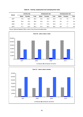|      |              | <b>Activity rate</b> |       |              |                |       |                        | Unemployment rate |       |  |  |
|------|--------------|----------------------|-------|--------------|----------------|-------|------------------------|-------------------|-------|--|--|
|      | <b>Males</b> | <b>Females</b>       | Total | <b>Males</b> | <b>Females</b> | Total | <b>Males</b>           | <b>Females</b>    | Total |  |  |
| 2007 | 77.6         | 38.6                 | 58.4  | 73.0         | 35.6           | 54.6  | 5.9                    | 7.6               | 6.5   |  |  |
| 2008 | 76.9         | 40.2                 | 58.9  | 72.6         | 37.4           | 55.3  | 6.6                    | 7.5               | 6.9   |  |  |
| 2009 | 76.7         | 40.8                 | 59.1  | 71.7         | 37.6           | 54.9  | 6.5                    | 7.7               | 6.9   |  |  |
| 2010 | 77.7         | 42.3                 | 60.4  | 72.4         | 39.3           | 56.2  | 6.8                    | 7.1               | 6.9   |  |  |
|      | Month        |                      |       |              |                |       | <b>Employment rate</b> |                   |       |  |  |

## **Table 81. Activity, employment and unemployment rates**



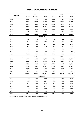|           |              | 2007               |            |              | 2008               |              |
|-----------|--------------|--------------------|------------|--------------|--------------------|--------------|
| Age group | <b>Males</b> | <b>Females</b>     | Total      | <b>Males</b> | <b>Females</b>     | <b>Total</b> |
| 15-24     | 14,457       | 12,166             | 26,623     | 14,202       | 12,301             | 26,503       |
| 25-34     | 27,743       | 17,095             | 44,838     | 28,986       | 18,081             | 47,067       |
| 35-44     | 24,411       | 9,468              | 33,879     | 23,938       | 10,249             | 34,187       |
| 45-54     | 26,340       | 7,875              | 34,215     | 25,666       | 8,661              | 34,326       |
| 55-64     | 12,650       | 3,283              | 15,933     | 13,392       | 3,677              | 17,069       |
| 65+       | 707          | $108^{\mathrm{u}}$ | 815        | 752          | $172^u$            | 924          |
| Total     | 106,308      | 49,995             | 156,303    | 106,935      | 53,140             | 160,075      |
|           |              |                    | percentage |              |                    |              |
| 15-24     | 13.6         | 24.3               | 17.0       | 13.3         | 23.2               | 16.6         |
| 25-34     | 26.1         | 34.2               | 28.7       | 27.1         | 34.0               | 29.4         |
| 35-44     | 23.0         | 18.9               | 21.7       | 22.4         | 19.3               | 21.3         |
| 45-54     | 24.8         | 15.8               | 21.9       | 24.0         | 16.3               | 21.4         |
| 55-64     | 11.9         | 6.6                | 10.2       | 12.5         | 6.9                | 10.7         |
| 65+       | 0.7          | $0.2^{\mathrm{u}}$ | 0.5        | 0.7          | $0.3^{\mathrm{u}}$ | 0.6          |
| Total     | 100.0        | 100.0              | 100.0      | 100.0        | 100.0              | 100.0        |
|           |              | 2009               |            |              | 2010               |              |
| 15-24     | 14,038       | 11,620             | 25,658     | 14,304       | 11,494             | 25,798       |
| 25-34     | 28,990       | 18,714             | 47,704     | 28,704       | 19,506             | 48,210       |
| 35-44     | 23,532       | 10,908             | 34,440     | 23,563       | 11,838             | 35,401       |
| 45-54     | 25,936       | 8,985              | 34,921     | 25,947       | 9,080              | 35,027       |
| 55-64     | 13,070       | 3,292              | 16,362     | 13,888       | 3,816              | 17,704       |
| 65+       | 1,274        | $412^{\circ}$      | 1,686      | 1,818        | $389^{\circ}$      | 2,207        |
| Total     | 106,840      | 53,931             | 160,771    | 108,224      | 56,123             | 164,347      |
|           |              |                    | percentage |              |                    |              |
| 15-24     | 13.2         | 21.5               | 16.0       | 13.2         | 20.5               | 15.7         |
| 25-34     | 27.1         | 34.7               | 29.7       | 26.5         | 34.7               | 29.3         |
| 35-44     | 22.0         | 20.2               | 21.4       | 21.8         | 21.1               | 21.6         |
| 45-54     | 24.3         | 16.7               | 21.7       | 24.0         | 16.2               | 21.3         |
| 55-64     | 12.2         | 6.1                | 10.2       | 12.8         | 6.8                | 10.8         |
| $65+$     | 1.2          | $0.8^{\mathrm{u}}$ | 1.0        | 1.7          | $0.7^{\mathrm{u}}$ | 1.3          |
| Total     | 100.0        | 100.0              | 100.0      | 100.0        | 100.0              | 100.0        |

# **Table 82. Total employed persons by age group**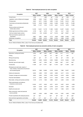|                                            |         | 2007                 |         | 2008                 |         | 2009                 |         | 2010                 |
|--------------------------------------------|---------|----------------------|---------|----------------------|---------|----------------------|---------|----------------------|
| Occupation                                 |         | <b>Males Females</b> |         | <b>Males Females</b> |         | <b>Males Females</b> |         | <b>Males Females</b> |
| Armed forces                               | 1,786   | ٠                    | 1,682   | $35^{\mathrm{u}}$    | 1,739   | $23^{\mathrm{u}}$    | 1,450   | 41 <sup>u</sup>      |
| Legislators, senior officials and managers | 9,988   | 2.224                | 10.287  | 2,150                | 10.384  | 2.803                | 11,015  | 3,245                |
| Professionals                              | 9,923   | 8.571                | 10.950  | 9.286                | 11.439  | 10.091               | 10.616  | 9,991                |
| Technicians and associate professionals    | 15.556  | 8.546                | 15,586  | 9.220                | 14.668  | 10.028               | 14,657  | 10,296               |
| Clerks                                     | 7,589   | 11,127               | 7.573   | 11,373               | 8.331   | 10.718               | 8.576   | 11,805               |
| Service workers and shop and               |         |                      |         |                      |         |                      |         |                      |
| market sales workers                       | 14.183  | 10.231               | 14.178  | 11.399               | 15.090  | 12,037               | 15.949  | 12,371               |
| Skilled agricultural and fishery workers   | 2,158   | $106^u$              | 2,574   | $147^{\circ}$        | 1.944   | $212^u$              | 1.843   | $177^{\mathrm{u}}$   |
| Craft and related trades workers           | 20,353  | 616                  | 20.295  | $547^{\circ}$        | 19,152  | $483^{\mathrm{u}}$   | 18,627  | $423^{\circ}$        |
| Plant and machine operators and            |         |                      |         |                      |         |                      |         |                      |
| assemblers                                 | 9,887   | 3.881                | 9,602   | 3,175                | 9,329   | 2,838                | 10,062  | 3,167                |
| Elementary occupations                     | 14,885  | 4,693                | 14,210  | 5,809                | 14,764  | 4,698                | 15,429  | 4,607                |
| Total                                      | 106,308 | 49,995               | 106,935 | 53,140               | 106,840 | 53,931               | 108,224 | 56,123               |

## **Table 83. Total employed persons by main occupation**

Source: National Statistics Office, Labour Force Survey annualised data.

#### **Table 84. Total employed persons by economic activity of main occupation**

| Occupation                                                                         |                    | 2007                 |                    | 2008                 |                   | 2009                 | 2010             |                    |
|------------------------------------------------------------------------------------|--------------------|----------------------|--------------------|----------------------|-------------------|----------------------|------------------|--------------------|
|                                                                                    |                    | <b>Males Females</b> |                    | <b>Males Females</b> |                   | <b>Males Females</b> | <b>Males</b>     | <b>Females</b>     |
| Agriculture, hunting and forestry                                                  | 2,354              | $180^u$              | 2,567              | $200^{\circ}$        | 1,890             | $214^{\mathrm{u}}$   | 1.717            | $162^{\mathrm{u}}$ |
| Fishing                                                                            | $314^{\circ}$      | ٠                    | $362^u$            | $10^{\circ}$         | $350^{\circ}$     | 21 <sup>u</sup>      | $456^{\circ}$    | ٠                  |
| Mining and quarrying                                                               | $493^{\mathrm{u}}$ | $29^{\mathrm{u}}$    | 571                | $14^{\mathrm{u}}$    | 625               | $40^{\circ}$         | 1.100            | $26^{\mathrm{u}}$  |
| Manufacturing                                                                      | 19.637             | 6.092                | 19.093             | 5.035                | 18,860            | 5.613                | 18.953           | 6.420              |
| Electricity, gas and water supply                                                  | 2,868              | $227^u$              | 3,464              | $192^u$              | 3,298             | $233^{\mathrm{u}}$   | 2,441            | $532^u$            |
| Construction                                                                       | 11,336             | $347^u$              | 11,911             | $492^u$              | 11,072            | $434^{\mathrm{u}}$   | 11,259           | $449^{\mathrm{u}}$ |
| Wholesale and retail trade; repairs of<br>motor vehicles, motorcycles and personal |                    |                      |                    |                      |                   |                      |                  |                    |
| and household goods                                                                | 16,616             | 7.669                | 16,906             | 8,128                | 16,943            | 7.892                | 18,207           | 8,425              |
| Hotels and restaurants                                                             | 8.350              | 4.582                | 7.878              | 5.253                | 8.683             | 4.617                | 8.704            | 4.044              |
| Transport, storage and communication                                               | 9.602              | 2.622                | 9.782              | 3.166                | 10.545            | 2.916                | 9.604            | 2,605              |
| Financial intermediation                                                           | 3.147              | 3,352                | 2.823              | 3.177                | 2.622             | 3.444                | 2.706            | 3.635              |
| Real estate, renting and business activities                                       | 7,218              | 4,170                | 7.460              | 3,989                | 8,027             | 4,005                | 8.165            | 4,304              |
| Public administration and defence;                                                 |                    |                      |                    |                      |                   |                      |                  |                    |
| compulsory social security                                                         | 10.020             | 3,767                | 9,522              | 4,671                | 9,674             | 4,657                | 9,616            | 4,508              |
| Education                                                                          | 4.934              | 8.108                | 4.647              | 8.728                | 4.619             | 8.970                | 4.684            | 9.207              |
| Health and social work                                                             | 5,330              | 5.983                | 5.423              | 6.776                | 5,257             | 7.063                | 5,814            | 7,842              |
| Other community, social and personal<br>service activities                         | 3.907              | 2.623                | 4.365              | 3.085                | 4.194             | 3.561                | 4.559            | 3,536              |
| Private households with employed persons                                           | 20 <sup>u</sup>    | $133^{\circ}$        |                    | $135^{\circ}$        | $39^{\mathrm{u}}$ | $105^{\mathrm{u}}$   | $69^{\circ}$     | $239^{\circ}$      |
| Extra-territorial organisations and bodies                                         | $162^u$            | 111 <sup>u</sup>     | $164^{\mathrm{u}}$ | $91^{\circ}$         | $142^u$           | $156^{\circ}$        | 170 <sup>u</sup> | $189^{\mathrm{u}}$ |
| Total                                                                              | 106.308            | 49.995               | 106.935            | 53.140               | 106.840           | 53.931               | 108.224          | 56.123             |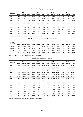#### **Table 85. Unemployed persons by age group**

|           |              | 2007           |        |              | 2008           |            |              | 2009           |        |              | 2010           |        |
|-----------|--------------|----------------|--------|--------------|----------------|------------|--------------|----------------|--------|--------------|----------------|--------|
| Age group | <b>Males</b> | <b>Females</b> | Total  | <b>Males</b> | <b>Females</b> | Total      | <b>Males</b> | <b>Females</b> | Total  | <b>Males</b> | <b>Females</b> | Total  |
| 15-24     | 2,698        | 1,599          | 4,297  | 2.254        | 1,432          | 3,686      | 2,648        | 1,667          | 4,315  | 2,267        | 1,593          | 3,860  |
| 25-44     | 2,606        | 1,631          | 4,237  | 2.440        | 1,519          | 3,958      | 2,859        | 1,875          | 4.734  | 3,602        | 1,757          | 5,359  |
| 45-64     | 1,386        | 911            | 2,297  | 1.680        | 975            | 2.654      | 1.971        | 935            | 2.906  | 2,037        | 948            | 2,985  |
| Total     | 6.690        | 4.141          | 10.831 | 6.373        | 3.925          | 10.298     | 7.478        | 4.477          | 11.955 | 7.906        | 4.298          | 12,204 |
|           |              |                |        |              |                | percentage |              |                |        |              |                |        |
| 15-24     | 40.3         | 38.6           | 39.7   | 35.4         | 36.5           | 35.8       | 35.4         | 37.2           | 36.1   | 28.7         | 37.1           | 31.6   |
| $25 - 44$ | 39.0         | 39.4           | 39.1   | 38.3         | 38.7           | 38.4       | 38.2         | 41.9           | 39.6   | 45.5         | 40.9           | 43.9   |
| 45-64     | 20.7         | 22.0           | 21.2   | 26.4         | 24.8           | 25.8       | 26.4         | 20.9           | 24.3   | 25.8         | 22.0           | 24.5   |
| Total     | 100.0        | 100.0          | 100.0  | 100.0        | 100.0          | 100.0      | 100.0        | 100.0          | 100.0  | 100.0        | 100.0          | 100.0  |

Source: National Statistics Office, Labour Force Survey annualised data.

#### **Table 86. Unemployed persons by duration of job search**

| <b>Duration of</b> | 2007         |                |        | 2008  |                | 2009   |       |                | 2010   |       |                |        |
|--------------------|--------------|----------------|--------|-------|----------------|--------|-------|----------------|--------|-------|----------------|--------|
| job search         | <b>Males</b> | <b>Females</b> | Total  | Males | <b>Females</b> | Total  | Males | <b>Females</b> | Total  | Males | <b>Females</b> | Total  |
| $< 5$ months       | 2.359        | 2.254          | 4.613  | 2.217 | 1.772          | 3.990  | 2.508 | 1.789          | 4.297  | 2.286 | 1.582          | 3.868  |
| 6-17 months        | 1.931        | 1.107          | 3.038  | 1.774 | 1.309          | 3.083  | 2.195 | 1.650          | 3.845  | 2.515 | 1.788          | 4.303  |
| $18+$ months       | 2.400        | 780            | 3.180  | 2.382 | 844            | 3.226  | 2.775 | 1.038          | 3.813  | 3.105 | 928            | 4.033  |
| <b>Total</b>       | 6.690        | 4.141          | 10.831 | 6.373 | 3.925          | 10.298 | 7.478 | 4.477          | 11.955 | 7.906 | 4.298          | 12.204 |

Source: National Statistics Office, Labour Force Survey annualised data.

#### **Table 87. Inactive persons by age group**

|           | 2007         |                |                 |              | 2008           |            |              | 2009            |        |              | 2010           |         |
|-----------|--------------|----------------|-----------------|--------------|----------------|------------|--------------|-----------------|--------|--------------|----------------|---------|
| Age group | <b>Males</b> | <b>Females</b> | Total           | <b>Males</b> | <b>Females</b> | Total      | <b>Males</b> | <b>Females</b>  | Total  | <b>Males</b> | <b>Females</b> | Total   |
| 15-24     | 12,875       | 14,425         | 27,300          | 13,317       | 14,329         | 27.645     | 13,605       | 14,751          | 28,356 | 13,367       | 14.640         | 28,007  |
| 25-34     | 1,181        | 10,721         | 11.902          | 1,121        | 10,361         | 11.482     | 1,375        | 10.190          | 11,565 | 1,397        | 9,800          | 11,197  |
| 35-44     | 1,058        | 15,062         | 16.120          | 1.124        | 14.013         | 15.136     | 1,215        | 13.378          | 14.593 | 1,218        | 12,572         | 13,790  |
| 45-54     | 2,720        | 20,950         | 23.670          | 3,205        | 20,268         | 23.472     | 2.811        | 19.639          | 22,450 | 2,349        | 19,107         | 21,456  |
| 55-64     | 14,534       | 24,866         | 39.400          | 14.956       | 25.602         | 40.558     | 15,281       | 26,261          | 41.542 | 14,391       | 25,611         | 40,002  |
| $65+$     | 23,301       | 32.454         | 55,755          | 23.253       | 32.670         | 55.923     | 23,929       | 33.542          | 57.471 | 25,034       | 35,394         | 60,428  |
| Total     | 55.669       |                | 118.478 174.147 | 56.974       | 117.242        | 174.216    | 58.216       | 117.761 175.977 |        | 57,756       | 117.124        | 174.880 |
|           |              |                |                 |              |                | percentage |              |                 |        |              |                |         |
| 15-24     | 23.1         | 12.2           | 15.7            | 23.4         | 12.2           | 15.8       | 23.4         | 12.5            | 16.1   | 23.1         | 12.5           | 16.0    |
| 25-34     | 2.1          | 9.0            | 6.8             | 2.0          | 8.9            | 6.6        | 2.4          | 8.6             | 6.6    | 2.4          | 8.4            | 6.4     |
| 35-44     | 1.9          | 12.7           | 9.3             | 2.0          | 12.0           | 8.7        | 2.1          | 11.4            | 8.3    | 2.1          | 10.7           | 7.9     |
| 45-54     | 4.9          | 17.7           | 13.6            | 5.6          | 17.3           | 13.5       | 4.8          | 16.7            | 12.8   | 4.1          | 16.3           | 12.3    |
| 55-64     | 26.1         | 21.0           | 22.6            | 26.2         | 21.8           | 23.3       | 26.2         | 22.3            | 23.6   | 24.9         | 21.9           | 22.9    |
| $65+$     | 41.9         | 27.4           | 32.0            | 40.8         | 27.9           | 32.1       | 41.1         | 28.5            | 32.6   | 43.4         | 30.2           | 34.5    |
| Total     | 100.0        | 100.0          | 100.0           | 100.0        | 100.0          | 100.0      | 100.0        | 100.0           | 100.0  | 100.0        | 100.0          | 100.0   |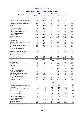## **ACCIDENTS AT WORK**

## **Table 88. Accidents at work by sex and occupation of victim**

|                                                      | <b>Males</b>   |             | <b>Females</b> |             | Total        |             |
|------------------------------------------------------|----------------|-------------|----------------|-------------|--------------|-------------|
| Occupation                                           | Number         | %           | Number         | %           | Number       | %           |
|                                                      |                |             | 2007           |             |              |             |
| <b>Armed Forces</b>                                  | 29             | 0.8         |                | J.          | 29           | 0.7         |
| Legislators, senior officials and managers           | 28             | 0.7         | 3              | 0.6         | 31           | 0.7         |
| Professionals                                        | 97             | 2.5         | 120            | 24.1        | 217          | 5.0         |
| Technicians and associate professionals              | 155            | 4.1         | 11             | 2.2         | 166          | 3.8         |
| Clerks                                               | 95             | 2.5         | 25             | 5.0         | 120          | 2.8         |
| Service workers and shop and                         |                |             |                |             |              |             |
| market sales workers                                 | 230            | 6.0         | 49             | 9.8         | 279          | 6.5         |
| Skilled agricultural and fishery workers             | 36             | 0.9         |                |             | 36           | 0.8         |
| Craft and related trades workers                     | 851            | 22.2        | $\overline{4}$ | 0.8         | 855          | 19.8        |
| Plant and machine operators<br>and assemblers        |                |             |                |             |              |             |
|                                                      | 355<br>1,953   | 9.3<br>51.0 | 48<br>239      | 9.6<br>47.9 | 403<br>2,192 | 9.3<br>50.6 |
| Elementary occupations<br>Total                      | 3,829          | 100.0       | 499            | 100.0       | 4.328        | 100.0       |
|                                                      |                |             | 2008           |             |              |             |
| <b>Armed Forces</b>                                  | 23             | 0.7         | 1              | 0.2         | 24           | 0.6         |
| Legislators, senior officials and managers           | 20             | 0.6         | 3              | 0.6         | 23           | 0.6         |
| Professionals                                        | 91             | 2.6         | 136            | 25.9        | 227          | 5.6         |
| Technicians and associate professionals              | 118            | 3.4         | 9              | 1.7         | 127          | 3.2         |
| Clerks                                               | 105            | 3.0         | 23             | 4.4         | 128          | 3.2         |
| Service workers and shop and                         |                |             |                |             |              |             |
| market sales workers                                 | 226            | 6.4         | 50             | 9.5         | 276          | 6.9         |
| Skilled agricultural and fishery workers             | 34             | 1.0         | ä,             |             | 34           | 0.8         |
| Craft and related trades workers                     | 707            | 20.2        | $\overline{4}$ | 0.8         | 711          | 17.7        |
| Plant and machine operators                          |                |             |                |             |              |             |
| and assemblers                                       | 323            | 9.2         | 37             | 7.1         | 360          | 8.9         |
| Elementary occupations                               | 1,852          | 52.9        | 261            | 49.8        | 2,113        | 52.5        |
| Total                                                | 3,499          | 100.0       | 524            | 100.0       | 4,023        | 100.0       |
|                                                      |                |             | 2009           |             |              |             |
| <b>Armed Forces</b>                                  | 29<br>18       | 1.0         | 3              | 0.7         | 29           | 0.9         |
| Legislators, senior officials and managers           | 74             | 0.6<br>2.5  | 93             |             | 21<br>167    | 0.6         |
| Professionals                                        |                |             | 5              | 19.9        |              | 5.0         |
| Technicians and associate professionals<br>Clerks    | 132<br>91      | 4.6<br>3.1  | 39             | 1.1<br>8.4  | 137          | 4.1         |
|                                                      |                |             |                |             | 130          | 3.9         |
| Service workers and shop and<br>market sales workers | 203            | 7.0         | 80             | 17.1        | 283          | 8.4         |
| Skilled agricultural and fishery workers             | 45             | 1.6         |                |             | 45           | 1.3         |
| Craft and related trades workers                     | 638            | 22.0        | $\overline{2}$ | 0.4         | 640          | 19.0        |
| Plant and machine operators                          |                |             |                |             |              |             |
| and assemblers                                       | 277            | 9.6         | 23             | 4.9         | 300          | 8.9         |
| Elementary occupations                               | 1.392          | 48.0        | 222            | 47.5        | 1.614        | 47.9        |
| Total                                                | 2,899          | 100.0       | 467            | 100.0       | 3,366        | 100.0       |
|                                                      |                |             | 2010           |             |              |             |
| <b>Armed Forces</b>                                  | 28             | 1.0         | $\mathbf{1}$   | 0.2         | 29           | 0.9         |
| Legislators, senior officials and managers           | 40             | 1.4         | 3              | 0.6         | 43           | 1.3         |
| Professionals                                        | 99             | 3.5         | 122            | 23.7        | 221          | 6.7         |
| Technicians and associate professionals              | 108            | 3.9         | 13             | 2.5         | 121          | 3.6         |
| Clerks                                               | 91             | 3.3         | 54             | 10.5        | 145          | 4.4         |
| Service workers and shop and                         |                |             |                |             |              |             |
| market sales workers                                 | 226            | 8.1         | 98             | 19.1        | 324          | 9.8         |
| Skilled agricultural and fishery workers             | 42             | 1.5         |                |             | 42           | 1.3         |
| Craft and related trades workers                     | 678            | 24.2        | 13             | 2.5         | 691          | 20.8        |
| Plant and machine operators                          |                |             |                |             |              |             |
| and assemblers                                       | 393            | 14.0        | 46             | 9.0         | 439          | 13.2        |
| Elementary occupations                               | 1,095<br>2.800 | 39.1        | 164<br>514     | 31.9        | 1,259        | 38.0        |
| Total                                                |                | 100.0       |                | 100.0       | 3,314        | 100.0       |

Source: Department of Social Security.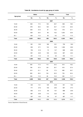|           |       | <b>Males</b> |     | <b>Females</b> | Total |       |  |
|-----------|-------|--------------|-----|----------------|-------|-------|--|
| Age group | No    | $\%$         | No  | %              | No    | $\%$  |  |
|           |       |              |     | 2007           |       |       |  |
| 15-24     | 652   | 17.0         | 148 | 29.7           | 800   | 18.5  |  |
| 25-34     | 976   | 25.5         | 128 | 25.7           | 1,104 | 25.5  |  |
| 35-44     | 834   | 21.8         | 81  | 16.2           | 915   | 21.1  |  |
| 45-54     | 939   | 24.5         | 96  | 19.2           | 1,035 | 23.9  |  |
| $55+$     | 428   | 11.2         | 46  | 9.2            | 474   | 11.0  |  |
| Total     | 3,829 | 100.0        | 499 | 100.0          | 4,328 | 100.0 |  |
|           |       |              |     |                |       |       |  |
| 15-24     | 591   | 16.9         | 168 | 32.1           | 759   | 18.9  |  |
| 25-34     | 950   | 27.1         | 134 | 25.6           | 1,084 | 26.9  |  |
| 35-44     | 756   | 21.6         | 72  | 13.7           | 828   | 20.6  |  |
| 45-54     | 801   | 22.9         | 106 | 20.2           | 907   | 22.5  |  |
| $55+$     | 401   | 11.5         | 44  | 8.4            | 445   | 11.1  |  |
| Total     | 3,499 | 100.0        | 524 | 100.0          | 4,023 | 100.0 |  |
|           |       |              |     | 2009           |       |       |  |
| 15-24     | 500   | 17.3         | 113 | 24.2           | 613   | 18.2  |  |
| 25-34     | 790   | 27.3         | 120 | 25.7           | 910   | 27.0  |  |
| 35-44     | 613   | 21.1         | 82  | 17.5           | 695   | 20.7  |  |
| 45-54     | 650   | 22.4         | 104 | 22.3           | 754   | 22.4  |  |
| $55+$     | 346   | 11.9         | 48  | 10.3           | 394   | 11.7  |  |
| Total     | 2,899 | 100.0        | 467 | 100.0          | 3,366 | 100.0 |  |
|           |       |              |     | 2010           |       |       |  |
| 15-24     | 423   | 15.1         | 128 | 24.9           | 551   | 16.6  |  |
| 25-34     | 771   | 27.6         | 136 | 26.5           | 907   | 27.4  |  |
| 35-44     | 602   | 21.5         | 86  | 16.7           | 688   | 20.8  |  |
| 45-54     | 667   | 23.8         | 114 | 22.2           | 781   | 23.5  |  |
| $55+$     | 337   | 12.0         | 50  | 9.7            | 387   | 11.7  |  |
| Total     | 2,800 | 100.0        | 514 | 100.0          | 3,314 | 100.0 |  |

# **Table 89. Accidents at work by age group of victim**

Source: Department of Social Security.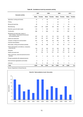|  |  |  | Table 90. Accidents at work by economic activity |
|--|--|--|--------------------------------------------------|
|--|--|--|--------------------------------------------------|

|                                                                                                           |              | 2007           | 2008           |                | 2009           |                | 2010         |                |
|-----------------------------------------------------------------------------------------------------------|--------------|----------------|----------------|----------------|----------------|----------------|--------------|----------------|
| <b>Economic activity</b>                                                                                  | <b>Males</b> | <b>Females</b> | <b>Males</b>   | <b>Females</b> | <b>Males</b>   | <b>Females</b> | <b>Males</b> | <b>Females</b> |
| Agriculture, hunting and forestry                                                                         | 44           | $\overline{2}$ | 63             | ×.             | 55             | ä,             | 46           | ٠              |
| Fishing                                                                                                   | 11           | ä,             | 15             | ä,             | 22             | ä,             | 13           | ٠              |
| Mining and quarrying                                                                                      | 32           | ٠              | 43             | $\mathbf{1}$   | 33             | 1              | 24           | $\mathbf{1}$   |
| Manufacturing                                                                                             | 1,333        | 99             | 1.099          | 98             | 785            | 51             | 743          | 82             |
| Electricity, gas and water supply                                                                         | 144          | 1              | 128            | ×,             | 102            | 1              | 122          | 3              |
| Construction                                                                                              | 685          | 4              | 648            | 4              | 556            | 1              | 597          | 6              |
| Wholesale and retail trade; repairs of<br>motor vehicles, motorcycles and personal<br>and household goods | 367          | 35             | 317            | 40             | 312            | 67             | 300          | 48             |
| Hotels and restaurants                                                                                    | 237          | 66             | 247            | 67             | 180            | 74             | 189          | 59             |
| Transport, storage and communication                                                                      | 457          | 32             | 439            | 29             | 342            | 49             | 355          | 49             |
| Financial intermediation                                                                                  | 5            | 5              | $\overline{7}$ | $\overline{2}$ | 3              | 3              | 3            | 3              |
| Real estate, renting and business activities                                                              | 169          | 40             | 168            | 41             | 193            | 45             | 110          | 46             |
| Public administration and defence; compulsory<br>social security                                          | 153          | 18             | 149            | 23             | 159            | 23             | 136          | 28             |
| Education                                                                                                 | 19           | 39             | 21             | 42             | 19             | 26             | 27           | 38             |
| Health and social work                                                                                    | 91           | 146            | 79             | 157            | 60             | 110            | 83           | 138            |
| Other community, social and personal service<br>activities                                                | 53           | $\overline{7}$ | 44             | 13             | 50             | 8              | 40           | 9              |
| Private households with employed persons                                                                  | ٠            | ٠              | ٠              | ł.             | ä,             | 1              |              |                |
| Extra-territorial organisations and bodies                                                                | 3            | $\overline{2}$ | $\overline{2}$ | $\mathbf{1}$   | $\overline{2}$ | ٠              | $\mathbf{1}$ | ä,             |
| Unknown                                                                                                   | 26           | 3              | 30             | 6              | 26             | $\overline{7}$ | 11           | 4              |
| Total                                                                                                     | 3.829        | 499            | 3,499          | 524            | 2,899          | 467            | 2,800        | 514            |

Source: Department of Social Security.

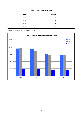## **Table 91. Fatal accidents at work**

| Year | Number                   |
|------|--------------------------|
| 2007 | $\overline{\phantom{a}}$ |
| 2008 | 3                        |
| 2009 | 8                        |
| 2010 | 3                        |

Source: Occupational Health and Safety Authority.

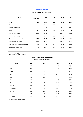## **CONSUMER PRICES**

## **Table 92. Retail Price Index (RPI)**

| <b>Section</b>                          | Weight*<br>$2009 = 100$ | 2007   | 2008   | 2009   | 2010   |
|-----------------------------------------|-------------------------|--------|--------|--------|--------|
| Food                                    | 21.23                   | 111.03 | 119.95 | 127.59 | 128.88 |
| Beverages and tobacco                   | 6.09                    | 119.52 | 122.80 | 128.05 | 130.65 |
| Clothing and footwear                   | 7.41                    | 88.33  | 92.34  | 92.02  | 88.10  |
| Housing                                 | 7.61                    | 119.96 | 124.68 | 128.31 | 131.08 |
| Fuel, light and power                   | 3.36                    | 146.58 | 175.68 | 203.83 | 253.56 |
| Durable household goods                 | 6.59                    | 105.75 | 105.56 | 105.88 | 106.54 |
| Transport and communications            | 22.76                   | 111.77 | 114.62 | 109.93 | 110.23 |
| Personal care and health                | 8.57                    | 117.04 | 119.25 | 122.98 | 125.43 |
| Education, entertainment and recreation | 9.28                    | 102.90 | 104.07 | 104.97 | 106.66 |
| Other goods and services                | 7.10                    | 117.94 | 120.75 | 123.01 | 125.05 |
| All items                               | 100.00                  | 111.00 | 115.73 | 118.14 | 119.93 |

\* The weights apply from 2010 Source: National Statistics Office.

## **Table 93. RPI monthly inflation rates**

**(***12-month moving average* **)**

| <b>Month</b> | 2007 | 2008 | 2009 | 2010 |
|--------------|------|------|------|------|
| January      | 2.70 | 1.43 | 4.26 | 1.88 |
| February     | 2.60 | 1.64 | 4.30 | 1.58 |
| March        | 2.37 | 1.94 | 4.32 | 1.26 |
| April        | 2.04 | 2.25 | 4.36 | 1.03 |
| May          | 1.67 | 2.60 | 4.34 | 0.85 |
| June         | 1.37 | 2.94 | 4.23 | 0.74 |
| July         | 1.10 | 3.28 | 3.95 | 0.76 |
| August       | 0.93 | 3.54 | 3.71 | 0.75 |
| September    | 0.81 | 3.73 | 3.46 | 0.80 |
| October      | 0.83 | 3.99 | 2.99 | 0.96 |
| November     | 1.04 | 4.12 | 2.56 | 1.19 |
| December     | 1.25 | 4.26 | 2.09 | 1.51 |

Source: National Statistics Office.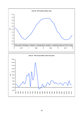

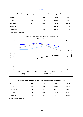# **MONEY**

| Currency       | 2007   | 2008   | 2009   | 2010   |
|----------------|--------|--------|--------|--------|
| US dollar      | 1.3705 | 1.4708 | 1.3948 | 1.3257 |
| Sterling pound | 0.6843 | 0.7963 | 0.8909 | 0.8578 |
| Swiss franc    | 1.6427 | 1.5874 | 1.5100 | 1.3803 |
| Japanese yen   | 161.25 | 152.45 | 130.34 | 116.24 |

#### **Table 94. Average exchange rates of major selected currencies against the euro**

Source: Central Bank of Malta.





| Currency       | 2007   | 2008   | 2009   | 2010   |
|----------------|--------|--------|--------|--------|
| US dollar      | 0.7297 | 0.6799 | 0.7169 | 0.7543 |
| Sterling pound | 1.4613 | 1.2558 | 1.1225 | 1.1658 |
| Swiss franc    | 0.6088 | 0.6300 | 0.6623 | 0.7245 |
| Japanese yen   | 0.0062 | 0.0066 | 0.0077 | 0.0086 |

Source: Central Bank of Malta.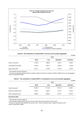

#### **Table 96. The contribution of resident MFIs\* to the euro area monetary aggregates**

€ million

|                               | 2010    |         |           |                 |
|-------------------------------|---------|---------|-----------|-----------------|
|                               | March   | June    | September | <b>December</b> |
| Narrow money (M1)             | 4.425.8 | 4.889.2 | 4.861.4   | 4,999.0         |
| Intermediate money (M2)       | 8,720.8 | 8.947.0 | 8,925.8   | 9,128.8         |
| Broad money (M3) <sup>1</sup> | 8.911.1 | 9,126.9 | 9.154.2   | 9.370.5         |

\* MFI- Monetary financial institutions

 $^{\rm 1}$  This does not respresent holdings of M3 by residents of Malta but rather the contribution of MFIs in Malta to the euro area aggregate Source: Central Bank of Malta.

| Table 97.  The contribution of resident MFIs* to counterparts to euro area monetary aggregates |  |  |  |
|------------------------------------------------------------------------------------------------|--|--|--|
|                                                                                                |  |  |  |

|                                       |          | 2010     |           | $\epsilon$ million |
|---------------------------------------|----------|----------|-----------|--------------------|
|                                       | March    | June     | September | <b>December</b>    |
| Credit counterpart <sup>1</sup>       | 13,840.9 | 14,193.8 | 14.274.5  | 14,466.7           |
| External counterpart (net)            | 9.056.4  | 8,825.3  | 9,153.7   | 8,183.3            |
| Other counterparts (net) <sup>2</sup> | 13.986.3 | 13.892.3 | 14.274.0  | 13.279.4           |
| <b>Broad Money (M3)</b>               |          |          |           |                    |

\* MFI- Monetary financial institutions

<sup>1</sup> Credit includes, besides lending, claims in the form of debt securities and shares and other equity

<sup>2</sup> Includes net interbank claims/liabilities with the MFI sector. These counterparts make a negative contribution to M3

Source: Central Bank of Malta.